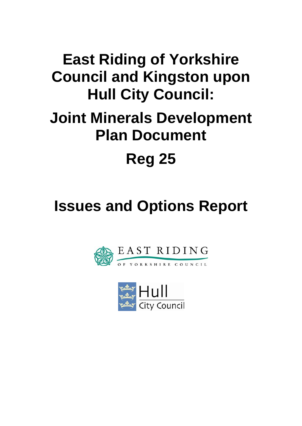# **East Riding of Yorkshire Council and Kingston upon Hull City Council:**

# **Joint Minerals Development Plan Document**

# **Reg 25**

# **Issues and Options Report**



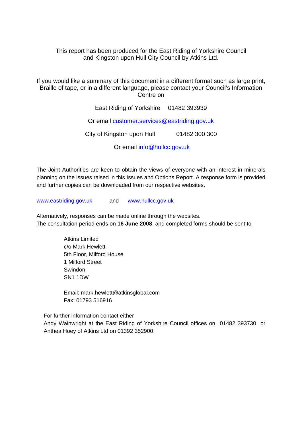This report has been produced for the East Riding of Yorkshire Council and Kingston upon Hull City Council by Atkins Ltd.

If you would like a summary of this document in a different format such as large print, Braille of tape, or in a different language, please contact your Council's Information Centre on

East Riding of Yorkshire 01482 393939

Or email [customer.services@eastriding.gov.uk](mailto:customer.services@eastriding.gov.uk)

City of Kingston upon Hull 01482 300 300

Or email [info@hullcc.gov.uk](mailto:info@hullcc.gov.uk)

The Joint Authorities are keen to obtain the views of everyone with an interest in minerals planning on the issues raised in this Issues and Options Report. A response form is provided and further copies can be downloaded from our respective websites.

[www.eastriding.gov.uk](http://www.eastriding.gov.uk/) and [www.hullcc.gov.uk](http://www.hullcc.gov.uk/)

Alternatively, responses can be made online through the websites. The consultation period ends on **16 June 2008**, and completed forms should be sent to

> Atkins Limited c/o Mark Hewlett 5th Floor, Milford House 1 Milford Street Swindon SN1 1DW

Email: mark.hewlett@atkinsglobal.com Fax: 01793 516916

For further information contact either Andy Wainwright at the East Riding of Yorkshire Council offices on 01482 393730 or Anthea Hoey of Atkins Ltd on 01392 352900.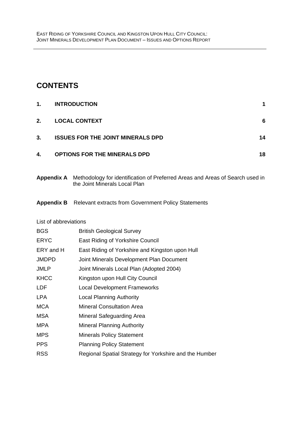### **CONTENTS**

| 1. | <b>INTRODUCTION</b>                      |    |
|----|------------------------------------------|----|
| 2. | <b>LOCAL CONTEXT</b>                     | 6  |
| 3. | <b>ISSUES FOR THE JOINT MINERALS DPD</b> | 14 |
| 4. | <b>OPTIONS FOR THE MINERALS DPD</b>      | 18 |

**Appendix A** Methodology for identification of Preferred Areas and Areas of Search used in the Joint Minerals Local Plan

#### **Appendix B** Relevant extracts from Government Policy Statements

#### List of abbreviations

| <b>BGS</b>   | <b>British Geological Survey</b>                       |
|--------------|--------------------------------------------------------|
| <b>ERYC</b>  | East Riding of Yorkshire Council                       |
| ERY and H    | East Riding of Yorkshire and Kingston upon Hull        |
| <b>JMDPD</b> | Joint Minerals Development Plan Document               |
| <b>JMLP</b>  | Joint Minerals Local Plan (Adopted 2004)               |
| <b>KHCC</b>  | Kingston upon Hull City Council                        |
| <b>LDF</b>   | <b>Local Development Frameworks</b>                    |
| LPA          | <b>Local Planning Authority</b>                        |
| <b>MCA</b>   | <b>Mineral Consultation Area</b>                       |
| <b>MSA</b>   | Mineral Safeguarding Area                              |
| <b>MPA</b>   | <b>Mineral Planning Authority</b>                      |
| <b>MPS</b>   | <b>Minerals Policy Statement</b>                       |
| <b>PPS</b>   | <b>Planning Policy Statement</b>                       |
| <b>RSS</b>   | Regional Spatial Strategy for Yorkshire and the Humber |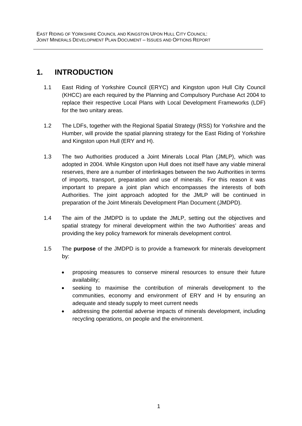### <span id="page-3-0"></span>**1. INTRODUCTION**

- 1.1 East Riding of Yorkshire Council (ERYC) and Kingston upon Hull City Council (KHCC) are each required by the Planning and Compulsory Purchase Act 2004 to replace their respective Local Plans with Local Development Frameworks (LDF) for the two unitary areas.
- 1.2 The LDFs, together with the Regional Spatial Strategy (RSS) for Yorkshire and the Humber, will provide the spatial planning strategy for the East Riding of Yorkshire and Kingston upon Hull (ERY and H).
- 1.3 The two Authorities produced a Joint Minerals Local Plan (JMLP), which was adopted in 2004. While Kingston upon Hull does not itself have any viable mineral reserves, there are a number of interlinkages between the two Authorities in terms of imports, transport, preparation and use of minerals. For this reason it was important to prepare a joint plan which encompasses the interests of both Authorities. The joint approach adopted for the JMLP will be continued in preparation of the Joint Minerals Development Plan Document (JMDPD).
- 1.4 The aim of the JMDPD is to update the JMLP, setting out the objectives and spatial strategy for mineral development within the two Authorities' areas and providing the key policy framework for minerals development control.
- 1.5 The **purpose** of the JMDPD is to provide a framework for minerals development by:
	- proposing measures to conserve mineral resources to ensure their future availability;
	- seeking to maximise the contribution of minerals development to the communities, economy and environment of ERY and H by ensuring an adequate and steady supply to meet current needs
	- addressing the potential adverse impacts of minerals development, including recycling operations, on people and the environment.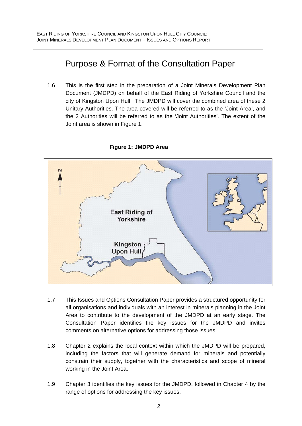# Purpose & Format of the Consultation Paper

1.6 This is the first step in the preparation of a Joint Minerals Development Plan Document (JMDPD) on behalf of the East Riding of Yorkshire Council and the city of Kingston Upon Hull. The JMDPD will cover the combined area of these 2 Unitary Authorities. The area covered will be referred to as the 'Joint Area', and the 2 Authorities will be referred to as the 'Joint Authorities'. The extent of the Joint area is shown in Figure 1.



#### **Figure 1: JMDPD Area**

- 1.7 This Issues and Options Consultation Paper provides a structured opportunity for all organisations and individuals with an interest in minerals planning in the Joint Area to contribute to the development of the JMDPD at an early stage. The Consultation Paper identifies the key issues for the JMDPD and invites comments on alternative options for addressing those issues.
- 1.8 Chapter 2 explains the local context within which the JMDPD will be prepared, including the factors that will generate demand for minerals and potentially constrain their supply, together with the characteristics and scope of mineral working in the Joint Area.
- 1.9 Chapter 3 identifies the key issues for the JMDPD, followed in Chapter 4 by the range of options for addressing the key issues.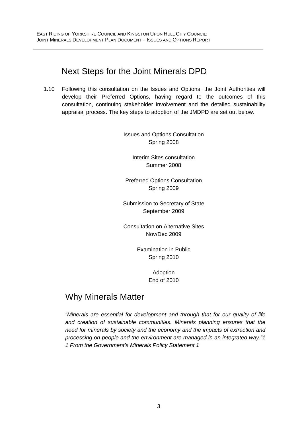# Next Steps for the Joint Minerals DPD

1.10 Following this consultation on the Issues and Options, the Joint Authorities will develop their Preferred Options, having regard to the outcomes of this consultation, continuing stakeholder involvement and the detailed sustainability appraisal process. The key steps to adoption of the JMDPD are set out below.

> Issues and Options Consultation Spring 2008

> > Interim Sites consultation Summer 2008

Preferred Options Consultation Spring 2009

Submission to Secretary of State September 2009

Consultation on Alternative Sites Nov/Dec 2009

> Examination in Public Spring 2010

> > Adoption End of 2010

# Why Minerals Matter

*"Minerals are essential for development and through that for our quality of life and creation of sustainable communities. Minerals planning ensures that the need for minerals by society and the economy and the impacts of extraction and processing on people and the environment are managed in an integrated way."1 1 From the Government's Minerals Policy Statement 1*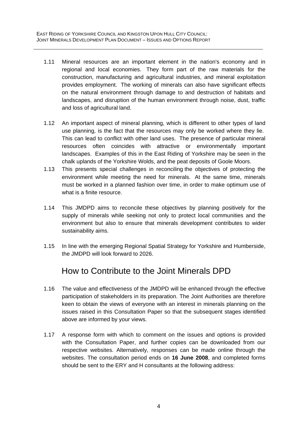- 1.11 Mineral resources are an important element in the nation's economy and in regional and local economies. They form part of the raw materials for the construction, manufacturing and agricultural industries, and mineral exploitation provides employment. The working of minerals can also have significant effects on the natural environment through damage to and destruction of habitats and landscapes, and disruption of the human environment through noise, dust, traffic and loss of agricultural land.
- 1.12 An important aspect of mineral planning, which is different to other types of land use planning, is the fact that the resources may only be worked where they lie. This can lead to conflict with other land uses. The presence of particular mineral resources often coincides with attractive or environmentally important landscapes. Examples of this in the East Riding of Yorkshire may be seen in the chalk uplands of the Yorkshire Wolds, and the peat deposits of Goole Moors.
- 1.13 This presents special challenges in reconciling the objectives of protecting the environment while meeting the need for minerals. At the same time, minerals must be worked in a planned fashion over time, in order to make optimum use of what is a finite resource.
- 1.14 This JMDPD aims to reconcile these objectives by planning positively for the supply of minerals while seeking not only to protect local communities and the environment but also to ensure that minerals development contributes to wider sustainability aims.
- 1.15 In line with the emerging Regional Spatial Strategy for Yorkshire and Humberside, the JMDPD will look forward to 2026.

# How to Contribute to the Joint Minerals DPD

- 1.16 The value and effectiveness of the JMDPD will be enhanced through the effective participation of stakeholders in its preparation. The Joint Authorities are therefore keen to obtain the views of everyone with an interest in minerals planning on the issues raised in this Consultation Paper so that the subsequent stages identified above are informed by your views.
- 1.17 A response form with which to comment on the issues and options is provided with the Consultation Paper, and further copies can be downloaded from our respective websites. Alternatively, responses can be made online through the websites. The consultation period ends on **16 June 2008**, and completed forms should be sent to the ERY and H consultants at the following address: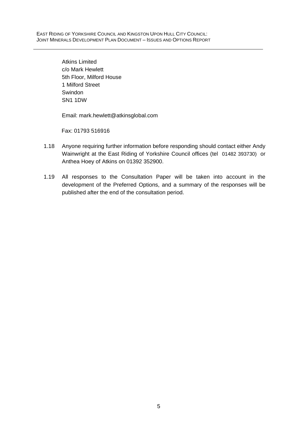Atkins Limited c/o Mark Hewlett 5th Floor, Milford House 1 Milford Street Swindon SN1 1DW

Email: mark.hewlett@atkinsglobal.com

Fax: 01793 516916

- 1.18 Anyone requiring further information before responding should contact either Andy Wainwright at the East Riding of Yorkshire Council offices (tel 01482 393730) or Anthea Hoey of Atkins on 01392 352900.
- 1.19 All responses to the Consultation Paper will be taken into account in the development of the Preferred Options, and a summary of the responses will be published after the end of the consultation period.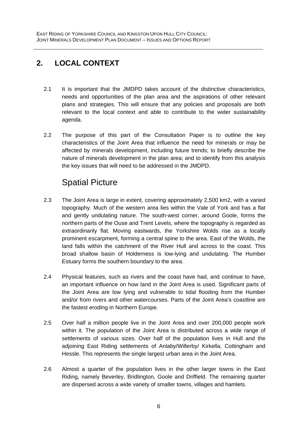# <span id="page-8-0"></span>**2. LOCAL CONTEXT**

- 2.1 It is important that the JMDPD takes account of the distinctive characteristics, needs and opportunities of the plan area and the aspirations of other relevant plans and strategies. This will ensure that any policies and proposals are both relevant to the local context and able to contribute to the wider sustainability agenda.
- 2.2 The purpose of this part of the Consultation Paper is to outline the key characteristics of the Joint Area that influence the need for minerals or may be affected by minerals development, including future trends; to briefly describe the nature of minerals development in the plan area; and to identify from this analysis the key issues that will need to be addressed in the JMDPD.

# Spatial Picture

- 2.3 The Joint Area is large in extent, covering approximately 2,500 km2, with a varied topography. Much of the western area lies within the Vale of York and has a flat and gently undulating nature. The south-west corner, around Goole, forms the northern parts of the Ouse and Trent Levels, where the topography is regarded as extraordinarily flat. Moving eastwards, the Yorkshire Wolds rise as a locally prominent escarpment, forming a central spine to the area. East of the Wolds, the land falls within the catchment of the River Hull and across to the coast. This broad shallow basin of Holderness is low-lying and undulating. The Humber Estuary forms the southern boundary to the area.
- 2.4 Physical features, such as rivers and the coast have had, and continue to have, an important influence on how land in the Joint Area is used. Significant parts of the Joint Area are low lying and vulnerable to tidal flooding from the Humber and/or from rivers and other watercourses. Parts of the Joint Area's coastline are the fastest eroding in Northern Europe.
- 2.5 Over half a million people live in the Joint Area and over 200,000 people work within it. The population of the Joint Area is distributed across a wide range of settlements of various sizes. Over half of the population lives in Hull and the adjoining East Riding settlements of Anlaby/Willerby/ Kirkella, Cottingham and Hessle. This represents the single largest urban area in the Joint Area.
- 2.6 Almost a quarter of the population lives in the other larger towns in the East Riding, namely Beverley, Bridlington, Goole and Driffield. The remaining quarter are dispersed across a wide variety of smaller towns, villages and hamlets.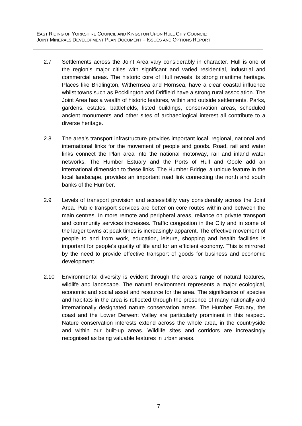- 2.7 Settlements across the Joint Area vary considerably in character. Hull is one of the region's major cities with significant and varied residential, industrial and commercial areas. The historic core of Hull reveals its strong maritime heritage. Places like Bridlington, Withernsea and Hornsea, have a clear coastal influence whilst towns such as Pocklington and Driffield have a strong rural association. The Joint Area has a wealth of historic features, within and outside settlements. Parks, gardens, estates, battlefields, listed buildings, conservation areas, scheduled ancient monuments and other sites of archaeological interest all contribute to a diverse heritage.
- 2.8 The area's transport infrastructure provides important local, regional, national and international links for the movement of people and goods. Road, rail and water links connect the Plan area into the national motorway, rail and inland water networks. The Humber Estuary and the Ports of Hull and Goole add an international dimension to these links. The Humber Bridge, a unique feature in the local landscape, provides an important road link connecting the north and south banks of the Humber.
- 2.9 Levels of transport provision and accessibility vary considerably across the Joint Area. Public transport services are better on core routes within and between the main centres. In more remote and peripheral areas, reliance on private transport and community services increases. Traffic congestion in the City and in some of the larger towns at peak times is increasingly apparent. The effective movement of people to and from work, education, leisure, shopping and health facilities is important for people's quality of life and for an efficient economy. This is mirrored by the need to provide effective transport of goods for business and economic development.
- 2.10 Environmental diversity is evident through the area's range of natural features, wildlife and landscape. The natural environment represents a major ecological, economic and social asset and resource for the area. The significance of species and habitats in the area is reflected through the presence of many nationally and internationally designated nature conservation areas. The Humber Estuary, the coast and the Lower Derwent Valley are particularly prominent in this respect. Nature conservation interests extend across the whole area, in the countryside and within our built-up areas. Wildlife sites and corridors are increasingly recognised as being valuable features in urban areas.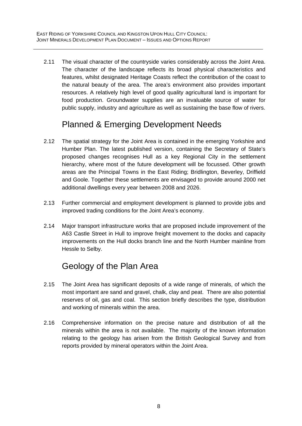2.11 The visual character of the countryside varies considerably across the Joint Area. The character of the landscape reflects its broad physical characteristics and features, whilst designated Heritage Coasts reflect the contribution of the coast to the natural beauty of the area. The area's environment also provides important resources. A relatively high level of good quality agricultural land is important for food production. Groundwater supplies are an invaluable source of water for public supply, industry and agriculture as well as sustaining the base flow of rivers.

# Planned & Emerging Development Needs

- 2.12 The spatial strategy for the Joint Area is contained in the emerging Yorkshire and Humber Plan. The latest published version, containing the Secretary of State's proposed changes recognises Hull as a key Regional City in the settlement hierarchy, where most of the future development will be focussed. Other growth areas are the Principal Towns in the East Riding; Bridlington, Beverley, Driffield and Goole. Together these settlements are envisaged to provide around 2000 net additional dwellings every year between 2008 and 2026.
- 2.13 Further commercial and employment development is planned to provide jobs and improved trading conditions for the Joint Area's economy.
- 2.14 Major transport infrastructure works that are proposed include improvement of the A63 Castle Street in Hull to improve freight movement to the docks and capacity improvements on the Hull docks branch line and the North Humber mainline from Hessle to Selby.

# Geology of the Plan Area

- 2.15 The Joint Area has significant deposits of a wide range of minerals, of which the most important are sand and gravel, chalk, clay and peat. There are also potential reserves of oil, gas and coal. This section briefly describes the type, distribution and working of minerals within the area.
- 2.16 Comprehensive information on the precise nature and distribution of all the minerals within the area is not available. The majority of the known information relating to the geology has arisen from the British Geological Survey and from reports provided by mineral operators within the Joint Area.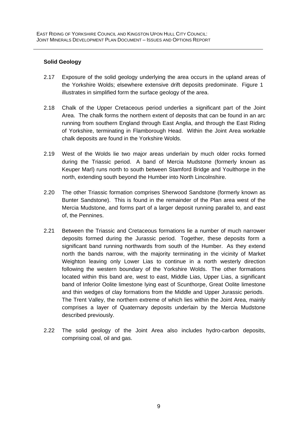#### **Solid Geology**

- 2.17 Exposure of the solid geology underlying the area occurs in the upland areas of the Yorkshire Wolds; elsewhere extensive drift deposits predominate. [Figure 1](http://www.cartoplus.co.uk/east_riding/images/pdfs/figure1.pdf)  illustrates in simplified form the surface geology of the area.
- 2.18 Chalk of the Upper Cretaceous period underlies a significant part of the Joint Area. The chalk forms the northern extent of deposits that can be found in an arc running from southern England through East Anglia, and through the East Riding of Yorkshire, terminating in Flamborough Head. Within the Joint Area workable chalk deposits are found in the Yorkshire Wolds.
- 2.19 West of the Wolds lie two major areas underlain by much older rocks formed during the Triassic period. A band of Mercia Mudstone (formerly known as Keuper Marl) runs north to south between Stamford Bridge and Youlthorpe in the north, extending south beyond the Humber into North Lincolnshire.
- 2.20 The other Triassic formation comprises Sherwood Sandstone (formerly known as Bunter Sandstone). This is found in the remainder of the Plan area west of the Mercia Mudstone, and forms part of a larger deposit running parallel to, and east of, the Pennines.
- 2.21 Between the Triassic and Cretaceous formations lie a number of much narrower deposits formed during the Jurassic period. Together, these deposits form a significant band running northwards from south of the Humber. As they extend north the bands narrow, with the majority terminating in the vicinity of Market Weighton leaving only Lower Lias to continue in a north westerly direction following the western boundary of the Yorkshire Wolds. The other formations located within this band are, west to east, Middle Lias, Upper Lias, a significant band of Inferior Oolite limestone lying east of Scunthorpe, Great Oolite limestone and thin wedges of clay formations from the Middle and Upper Jurassic periods. The Trent Valley, the northern extreme of which lies within the Joint Area, mainly comprises a layer of Quaternary deposits underlain by the Mercia Mudstone described previously.
- 2.22 The solid geology of the Joint Area also includes hydro-carbon deposits, comprising coal, oil and gas.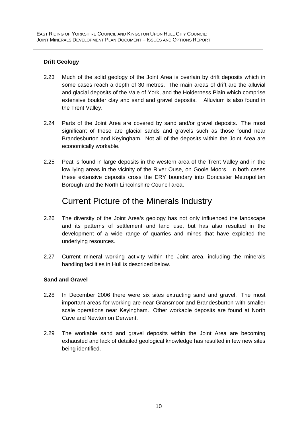#### **Drift Geology**

- 2.23 Much of the solid geology of the Joint Area is overlain by drift deposits which in some cases reach a depth of 30 metres. The main areas of drift are the alluvial and glacial deposits of the Vale of York, and the Holderness Plain which comprise extensive boulder clay and sand and gravel deposits. Alluvium is also found in the Trent Valley.
- 2.24 Parts of the Joint Area are covered by sand and/or gravel deposits. The most significant of these are glacial sands and gravels such as those found near Brandesburton and Keyingham. Not all of the deposits within the Joint Area are economically workable.
- 2.25 Peat is found in large deposits in the western area of the Trent Valley and in the low lying areas in the vicinity of the River Ouse, on Goole Moors. In both cases these extensive deposits cross the ERY boundary into Doncaster Metropolitan Borough and the North Lincolnshire Council area.

### Current Picture of the Minerals Industry

- 2.26 The diversity of the Joint Area's geology has not only influenced the landscape and its patterns of settlement and land use, but has also resulted in the development of a wide range of quarries and mines that have exploited the underlying resources.
- 2.27 Current mineral working activity within the Joint area, including the minerals handling facilities in Hull is described below.

#### **Sand and Gravel**

- 2.28 In December 2006 there were six sites extracting sand and gravel. The most important areas for working are near Gransmoor and Brandesburton with smaller scale operations near Keyingham. Other workable deposits are found at North Cave and Newton on Derwent.
- 2.29 The workable sand and gravel deposits within the Joint Area are becoming exhausted and lack of detailed geological knowledge has resulted in few new sites being identified.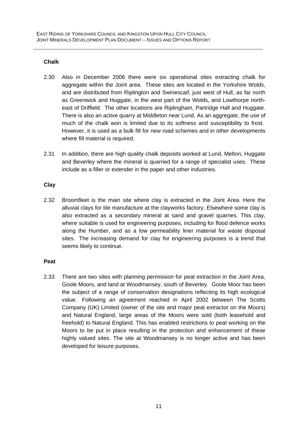#### **Chalk**

- 2.30 Also in December 2006 there were six operational sites extracting chalk for aggregate within the Joint area. These sites are located in the Yorkshire Wolds, and are distributed from Riplington and Swinescaif, just west of Hull, as far north as Greenwick and Huggate, in the west part of the Wolds, and Lowthorpe northeast of Driffield. The other locations are Riplingham, Partridge Hall and Huggate. There is also an active quarry at Middleton near Lund. As an aggregate, the use of much of the chalk won is limited due to its softness and susceptibility to frost. However, it is used as a bulk fill for new road schemes and in other developments where fill material is required.
- 2.31 In addition, there are high quality chalk deposits worked at Lund, Melton, Huggate and Beverley where the mineral is quarried for a range of specialist uses. These include as a filler or extender in the paper and other industries.

#### **Clay**

2.32 Broomfleet is the main site where clay is extracted in the Joint Area. Here the alluvial clays for tile manufacture at the clayworks factory. Elsewhere some clay is also extracted as a secondary mineral at sand and gravel quarries. This clay, where suitable is used for engineering purposes, including for flood defence works along the Humber, and as a low permeability liner material for waste disposal sites. The increasing demand for clay for engineering purposes is a trend that seems likely to continue.

#### **Peat**

2.33 There are two sites with planning permission for peat extraction in the Joint Area, Goole Moors, and land at Woodmansey, south of Beverley. Goole Moor has been the subject of a range of conservation designations reflecting its high ecological value. Following an agreement reached in April 2002 between The Scotts Company (UK) Limited (owner of the site and major peat extractor on the Moors) and Natural England, large areas of the Moors were sold (both leasehold and freehold) to Natural England. This has enabled restrictions to peat working on the Moors to be put in place resulting in the protection and enhancement of these highly valued sites. The site at Woodmansey is no longer active and has been developed for leisure purposes.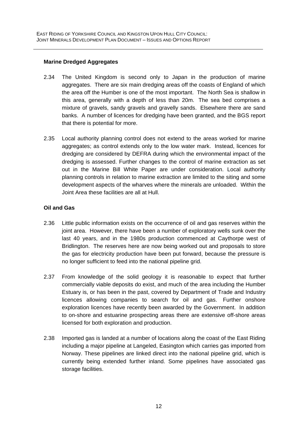#### **Marine Dredged Aggregates**

- 2.34 The United Kingdom is second only to Japan in the production of marine aggregates. There are six main dredging areas off the coasts of England of which the area off the Humber is one of the most important. The North Sea is shallow in this area, generally with a depth of less than 20m. The sea bed comprises a mixture of gravels, sandy gravels and gravelly sands. Elsewhere there are sand banks. A number of licences for dredging have been granted, and the BGS report that there is potential for more.
- 2.35 Local authority planning control does not extend to the areas worked for marine aggregates; as control extends only to the low water mark. Instead, licences for dredging are considered by DEFRA during which the environmental impact of the dredging is assessed. Further changes to the control of marine extraction as set out in the Marine Bill White Paper are under consideration. Local authority planning controls in relation to marine extraction are limited to the siting and some development aspects of the wharves where the minerals are unloaded. Within the Joint Area these facilities are all at Hull.

#### **Oil and Gas**

- 2.36 Little public information exists on the occurrence of oil and gas reserves within the joint area. However, there have been a number of exploratory wells sunk over the last 40 years, and in the 1980s production commenced at Caythorpe west of Bridlington. The reserves here are now being worked out and proposals to store the gas for electricity production have been put forward, because the pressure is no longer sufficient to feed into the national pipeline grid.
- 2.37 From knowledge of the solid geology it is reasonable to expect that further commercially viable deposits do exist, and much of the area including the Humber Estuary is, or has been in the past, covered by Department of Trade and Industry licences allowing companies to search for oil and gas. Further onshore exploration licences have recently been awarded by the Government. In addition to on-shore and estuarine prospecting areas there are extensive off-shore areas licensed for both exploration and production.
- 2.38 Imported gas is landed at a number of locations along the coast of the East Riding including a major pipeline at Langeled, Easington which carries gas imported from Norway. These pipelines are linked direct into the national pipeline grid, which is currently being extended further inland. Some pipelines have associated gas storage facilities.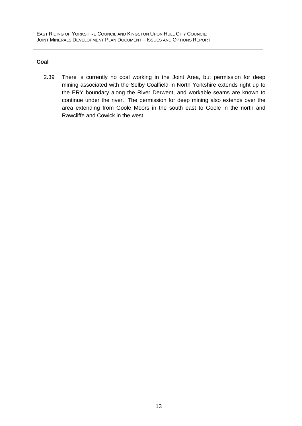#### **Coal**

2.39 There is currently no coal working in the Joint Area, but permission for deep mining associated with the Selby Coalfield in North Yorkshire extends right up to the ERY boundary along the River Derwent, and workable seams are known to continue under the river. The permission for deep mining also extends over the area extending from Goole Moors in the south east to Goole in the north and Rawcliffe and Cowick in the west.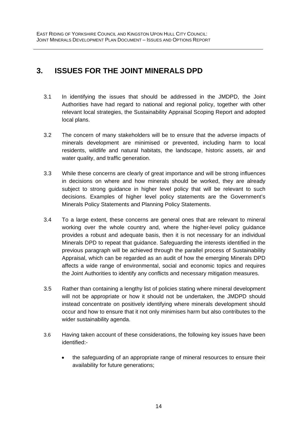### <span id="page-16-0"></span>**3. ISSUES FOR THE JOINT MINERALS DPD**

- 3.1 In identifying the issues that should be addressed in the JMDPD, the Joint Authorities have had regard to national and regional policy, together with other relevant local strategies, the Sustainability Appraisal Scoping Report and adopted local plans.
- 3.2 The concern of many stakeholders will be to ensure that the adverse impacts of minerals development are minimised or prevented, including harm to local residents, wildlife and natural habitats, the landscape, historic assets, air and water quality, and traffic generation.
- 3.3 While these concerns are clearly of great importance and will be strong influences in decisions on where and how minerals should be worked, they are already subject to strong guidance in higher level policy that will be relevant to such decisions. Examples of higher level policy statements are the Government's Minerals Policy Statements and Planning Policy Statements.
- 3.4 To a large extent, these concerns are general ones that are relevant to mineral working over the whole country and, where the higher-level policy guidance provides a robust and adequate basis, then it is not necessary for an individual Minerals DPD to repeat that guidance. Safeguarding the interests identified in the previous paragraph will be achieved through the parallel process of Sustainability Appraisal, which can be regarded as an audit of how the emerging Minerals DPD affects a wide range of environmental, social and economic topics and requires the Joint Authorities to identify any conflicts and necessary mitigation measures.
- 3.5 Rather than containing a lengthy list of policies stating where mineral development will not be appropriate or how it should not be undertaken, the JMDPD should instead concentrate on positively identifying where minerals development should occur and how to ensure that it not only minimises harm but also contributes to the wider sustainability agenda.
- 3.6 Having taken account of these considerations, the following key issues have been identified:-
	- the safeguarding of an appropriate range of mineral resources to ensure their availability for future generations;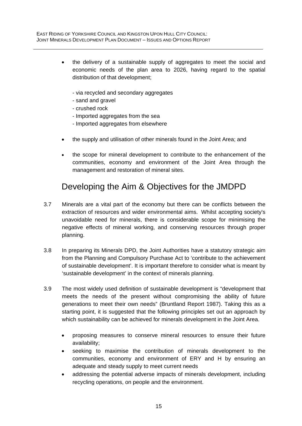- the delivery of a sustainable supply of aggregates to meet the social and economic needs of the plan area to 2026, having regard to the spatial distribution of that development;
	- via recycled and secondary aggregates
	- sand and gravel
	- crushed rock
	- Imported aggregates from the sea
	- Imported aggregates from elsewhere
- the supply and utilisation of other minerals found in the Joint Area; and
- the scope for mineral development to contribute to the enhancement of the communities, economy and environment of the Joint Area through the management and restoration of mineral sites.

# Developing the Aim & Objectives for the JMDPD

- 3.7 Minerals are a vital part of the economy but there can be conflicts between the extraction of resources and wider environmental aims. Whilst accepting society's unavoidable need for minerals, there is considerable scope for minimising the negative effects of mineral working, and conserving resources through proper planning.
- 3.8 In preparing its Minerals DPD, the Joint Authorities have a statutory strategic aim from the Planning and Compulsory Purchase Act to 'contribute to the achievement of sustainable development'. It is important therefore to consider what is meant by 'sustainable development' in the context of minerals planning.
- 3.9 The most widely used definition of sustainable development is "development that meets the needs of the present without compromising the ability of future generations to meet their own needs" (Bruntland Report 1987). Taking this as a starting point, it is suggested that the following principles set out an approach by which sustainability can be achieved for minerals development in the Joint Area.
	- proposing measures to conserve mineral resources to ensure their future availability;
	- seeking to maximise the contribution of minerals development to the communities, economy and environment of ERY and H by ensuring an adequate and steady supply to meet current needs
	- addressing the potential adverse impacts of minerals development, including recycling operations, on people and the environment.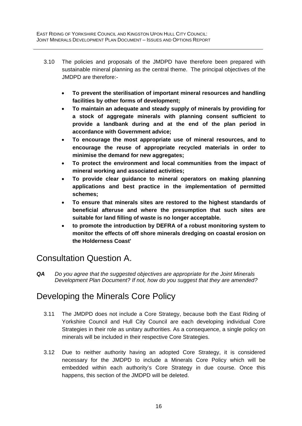- 3.10 The policies and proposals of the JMDPD have therefore been prepared with sustainable mineral planning as the central theme. The principal objectives of the JMDPD are therefore:-
	- **To prevent the sterilisation of important mineral resources and handling facilities by other forms of development;**
	- **To maintain an adequate and steady supply of minerals by providing for a stock of aggregate minerals with planning consent sufficient to provide a landbank during and at the end of the plan period in accordance with Government advice;**
	- **To encourage the most appropriate use of mineral resources, and to encourage the reuse of appropriate recycled materials in order to minimise the demand for new aggregates;**
	- **To protect the environment and local communities from the impact of mineral working and associated activities;**
	- **To provide clear guidance to mineral operators on making planning applications and best practice in the implementation of permitted schemes;**
	- **To ensure that minerals sites are restored to the highest standards of beneficial afteruse and where the presumption that such sites are suitable for land filling of waste is no longer acceptable.**
	- **to promote the introduction by DEFRA of a robust monitoring system to monitor the effects of off shore minerals dredging on coastal erosion on the Holderness Coast'**

# Consultation Question A.

*QA Do you agree that the suggested objectives are appropriate for the Joint Minerals Development Plan Document? If not, how do you suggest that they are amended?* 

# Developing the Minerals Core Policy

- 3.11 The JMDPD does not include a Core Strategy, because both the East Riding of Yorkshire Council and Hull City Council are each developing individual Core Strategies in their role as unitary authorities. As a consequence, a single policy on minerals will be included in their respective Core Strategies.
- 3.12 Due to neither authority having an adopted Core Strategy, it is considered necessary for the JMDPD to include a Minerals Core Policy which will be embedded within each authority's Core Strategy in due course. Once this happens, this section of the JMDPD will be deleted.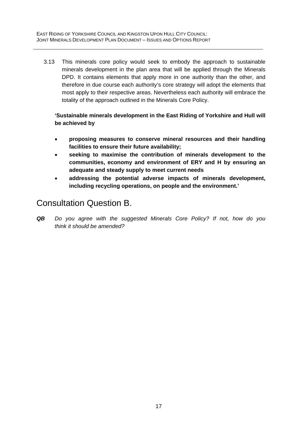3.13 This minerals core policy would seek to embody the approach to sustainable minerals development in the plan area that will be applied through the Minerals DPD. It contains elements that apply more in one authority than the other, and therefore in due course each authority's core strategy will adopt the elements that most apply to their respective areas. Nevertheless each authority will embrace the totality of the approach outlined in the Minerals Core Policy.

**'Sustainable minerals development in the East Riding of Yorkshire and Hull will be achieved by** 

- **proposing measures to conserve mineral resources and their handling facilities to ensure their future availability;**
- **seeking to maximise the contribution of minerals development to the communities, economy and environment of ERY and H by ensuring an adequate and steady supply to meet current needs**
- **addressing the potential adverse impacts of minerals development, including recycling operations, on people and the environment.'**

# Consultation Question B.

*QB Do you agree with the suggested Minerals Core Policy? If not, how do you think it should be amended?*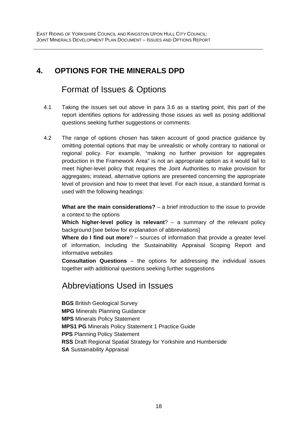## <span id="page-20-0"></span>**4. OPTIONS FOR THE MINERALS DPD**

# Format of Issues & Options

- 4.1 Taking the issues set out above in para 3.6 as a starting point, this part of the report identifies options for addressing those issues as well as posing additional questions seeking further suggestions or comments.
- 4.2 The range of options chosen has taken account of good practice guidance by omitting potential options that may be unrealistic or wholly contrary to national or regional policy. For example, "making no further provision for aggregates production in the Framework Area" is not an appropriate option as it would fail to meet higher-level policy that requires the Joint Authorities to make provision for aggregates; instead, alternative options are presented concerning the appropriate level of provision and how to meet that level. For each issue, a standard format is used with the following headings:

**What are the main considerations?** – a brief introduction to the issue to provide a context to the options

**Which higher-level policy is relevant**? – a summary of the relevant policy background [see below for explanation of abbreviations]

**Where do I find out more**? – sources of information that provide a greater level of information, including the Sustainability Appraisal Scoping Report and informative websites

**Consultation Questions** – the options for addressing the individual issues together with additional questions seeking further suggestions

# Abbreviations Used in Issues

**BGS** British Geological Survey **MPG** Minerals Planning Guidance **MPS** Minerals Policy Statement **MPS1 PG** Minerals Policy Statement 1 Practice Guide **PPS Planning Policy Statement RSS** Draft Regional Spatial Strategy for Yorkshire and Humberside **SA Sustainability Appraisal**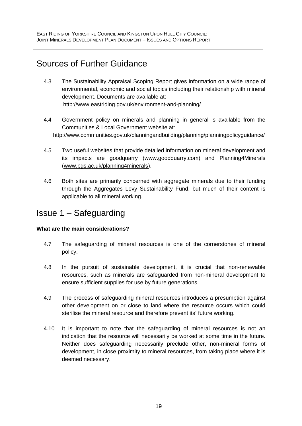# Sources of Further Guidance

- 4.3 The Sustainability Appraisal Scoping Report gives information on a wide range of environmental, economic and social topics including their relationship with mineral development. Documents are available at: <http://www.eastriding.gov.uk/environment-and-planning/>
- 4.4 Government policy on minerals and planning in general is available from the Communities & Local Government website at: http://www.communities.gov.uk/planningandbuilding/planning/planningpolicyguidance/
- 4.5 Two useful websites that provide detailed information on mineral development and its impacts are goodquarry (www.goodquarry.com) and Planning4Minerals ([www.bgs.ac.uk/planning4minerals](http://www.bgs.ac.uk/planning4minerals)).
- 4.6 Both sites are primarily concerned with aggregate minerals due to their funding through the Aggregates Levy Sustainability Fund, but much of their content is applicable to all mineral working.

# Issue 1 – Safeguarding

#### **What are the main considerations?**

- 4.7 The safeguarding of mineral resources is one of the cornerstones of mineral policy.
- 4.8 In the pursuit of sustainable development, it is crucial that non-renewable resources, such as minerals are safeguarded from non-mineral development to ensure sufficient supplies for use by future generations.
- 4.9 The process of safeguarding mineral resources introduces a presumption against other development on or close to land where the resource occurs which could sterilise the mineral resource and therefore prevent its' future working.
- 4.10 It is important to note that the safeguarding of mineral resources is not an indication that the resource will necessarily be worked at some time in the future. Neither does safeguarding necessarily preclude other, non-mineral forms of development, in close proximity to mineral resources, from taking place where it is deemed necessary.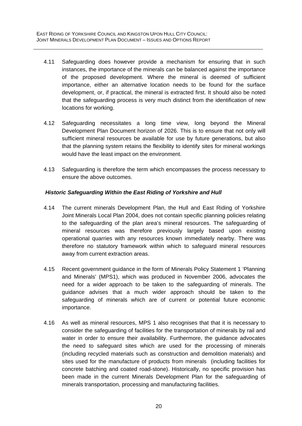- 4.11 Safeguarding does however provide a mechanism for ensuring that in such instances, the importance of the minerals can be balanced against the importance of the proposed development. Where the mineral is deemed of sufficient importance, either an alternative location needs to be found for the surface development, or, if practical, the mineral is extracted first. It should also be noted that the safeguarding process is very much distinct from the identification of new locations for working.
- 4.12 Safeguarding necessitates a long time view, long beyond the Mineral Development Plan Document horizon of 2026. This is to ensure that not only will sufficient mineral resources be available for use by future generations, but also that the planning system retains the flexibility to identify sites for mineral workings would have the least impact on the environment.
- 4.13 Safeguarding is therefore the term which encompasses the process necessary to ensure the above outcomes.

#### *Historic Safeguarding Within the East Riding of Yorkshire and Hull*

- 4.14 The current minerals Development Plan, the Hull and East Riding of Yorkshire Joint Minerals Local Plan 2004, does not contain specific planning policies relating to the safeguarding of the plan area's mineral resources. The safeguarding of mineral resources was therefore previously largely based upon existing operational quarries with any resources known immediately nearby. There was therefore no statutory framework within which to safeguard mineral resources away from current extraction areas.
- 4.15 Recent government guidance in the form of Minerals Policy Statement 1 'Planning and Minerals' (MPS1), which was produced in November 2006, advocates the need for a wider approach to be taken to the safeguarding of minerals. The guidance advises that a much wider approach should be taken to the safeguarding of minerals which are of current or potential future economic importance.
- 4.16 As well as mineral resources, MPS 1 also recognises that that it is necessary to consider the safeguarding of facilities for the transportation of minerals by rail and water in order to ensure their availability. Furthermore, the guidance advocates the need to safeguard sites which are used for the processing of minerals (including recycled materials such as construction and demolition materials) and sites used for the manufacture of products from minerals (including facilities for concrete batching and coated road-stone). Historically, no specific provision has been made in the current Minerals Development Plan for the safeguarding of minerals transportation, processing and manufacturing facilities.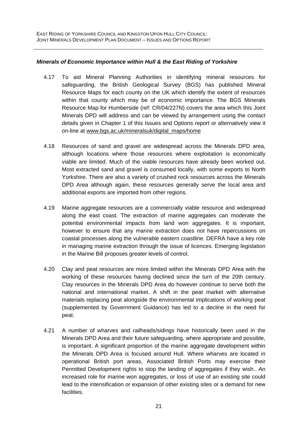#### *Minerals of Economic Importance within Hull & the East Riding of Yorkshire*

- 4.17 To aid Mineral Planning Authorities in identifying mineral resources for safeguarding, the British Geological Survey (BGS) has published Mineral Resource Maps for each county on the UK which identify the extent of resources within that county which may be of economic importance. The BGS Minerals Resource Map for Humberside (ref: CR/04/227N) covers the area which this Joint Minerals DPD will address and can be viewed by arrangement using the contact details given in Chapter 1 of this Issues and Options report or alternatively view it on-line at [www.bgs.ac.uk/mineralsuk/digital\\_maps/home](http://www.bgs.ac.uk/mineralsuk/digital_maps/home)
- 4.18 Resources of sand and gravel are widespread across the Minerals DPD area, although locations where those resources where exploitation is economically viable are limited. Much of the viable resources have already been worked out. Most extracted sand and gravel is consumed locally, with some exports to North Yorkshire. There are also a variety of crushed rock resources across the Minerals DPD Area although again, these resources generally serve the local area and additional exports are imported from other regions.
- 4.19 Marine aggregate resources are a commercially viable resource and widespread along the east coast. The extraction of marine aggregates can moderate the potential environmental impacts from land won aggregates. It is important, however to ensure that any marine extraction does not have repercussions on coastal processes along the vulnerable eastern coastline. DEFRA have a key role in managing marine extraction through the issue of licences. Emerging legislation in the Marine Bill proposes greater levels of control.
- 4.20 Clay and peat resources are more limited within the Minerals DPD Area with the working of these resources having declined since the turn of the 20th century. Clay resources in the Minerals DPD Area do however continue to serve both the national and international market. A shift in the peat market with alternative materials replacing peat alongside the environmental implications of working peat (supplemented by Government Guidance) has led to a decline in the need for peat.
- 4.21 A number of wharves and railheads/sidings have historically been used in the Minerals DPD Area and their future safeguarding, where appropriate and possible, is important. A significant proportion of the marine aggregate development within the Minerals DPD Area is focused around Hull. Where wharves are located in operational British port areas, Associated British Ports may exercise their Permitted Development rights to stop the landing of aggregates if they wish.. An increased role for marine won aggregates, or loss of use of an existing site could lead to the intensification or expansion of other existing sites or a demand for new facilities.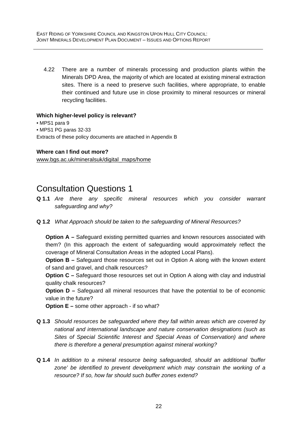4.22 There are a number of minerals processing and production plants within the Minerals DPD Area, the majority of which are located at existing mineral extraction sites. There is a need to preserve such facilities, where appropriate, to enable their continued and future use in close proximity to mineral resources or mineral recycling facilities.

#### **Which higher-level policy is relevant?**

• MPS1 para 9 • MPS1 PG paras 32-33 Extracts of these policy documents are attached in Appendix B

#### **Where can I find out more?**

[www.bgs.ac.uk/mineralsuk/digital\\_maps/home](http://www.bgs.ac.uk/mineralsuk/digital_maps/home)

# Consultation Questions 1

- **Q 1.1** *Are there any specific mineral resources which you consider warrant safeguarding and why?*
- **Q 1.2** *What Approach should be taken to the safeguarding of Mineral Resources?*

**Option A** – Safeguard existing permitted quarries and known resources associated with them? (In this approach the extent of safeguarding would approximately reflect the coverage of Mineral Consultation Areas in the adopted Local Plans).

**Option B** – Safeguard those resources set out in Option A along with the known extent of sand and gravel, and chalk resources?

**Option C –** Safeguard those resources set out in Option A along with clay and industrial quality chalk resources?

**Option D –** Safeguard all mineral resources that have the potential to be of economic value in the future?

**Option E –** some other approach - if so what?

- **Q 1.3** *Should resources be safeguarded where they fall within areas which are covered by national and international landscape and nature conservation designations (such as Sites of Special Scientific Interest and Special Areas of Conservation) and where there is therefore a general presumption against mineral working?*
- **Q 1.4** *In addition to a mineral resource being safeguarded, should an additional 'buffer zone' be identified to prevent development which may constrain the working of a resource? If so, how far should such buffer zones extend?*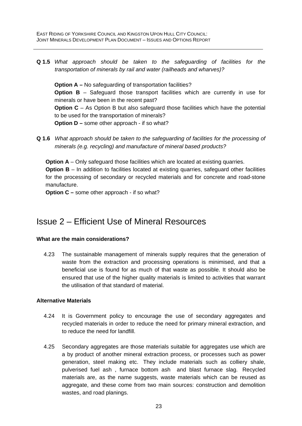**Q 1.5** *What approach should be taken to the safeguarding of facilities for the transportation of minerals by rail and water (railheads and wharves)?* 

**Option A – No safeguarding of transportation facilities? Option B** – Safeguard those transport facilities which are currently in use for minerals or have been in the recent past? **Option C** – As Option B but also safeguard those facilities which have the potential to be used for the transportation of minerals? **Option D –** some other approach - if so what?

**Q 1.6** *What approach should be taken to the safeguarding of facilities for the processing of minerals (e.g. recycling) and manufacture of mineral based products?* 

**Option A** – Only safeguard those facilities which are located at existing quarries. **Option B** – In addition to facilities located at existing quarries, safeguard other facilities for the processing of secondary or recycled materials and for concrete and road-stone manufacture.

**Option C** – some other approach - if so what?

# Issue 2 – Efficient Use of Mineral Resources

#### **What are the main considerations?**

4.23 The sustainable management of minerals supply requires that the generation of waste from the extraction and processing operations is minimised, and that a beneficial use is found for as much of that waste as possible. It should also be ensured that use of the higher quality materials is limited to activities that warrant the utilisation of that standard of material.

#### **Alternative Materials**

- 4.24 It is Government policy to encourage the use of secondary aggregates and recycled materials in order to reduce the need for primary mineral extraction, and to reduce the need for landfill.
- 4.25 Secondary aggregates are those materials suitable for aggregates use which are a by product of another mineral extraction process, or processes such as power generation, steel making etc. They include materials such as colliery shale, pulverised fuel ash , furnace bottom ash and blast furnace slag. Recycled materials are, as the name suggests, waste materials which can be reused as aggregate, and these come from two main sources: construction and demolition wastes, and road planings.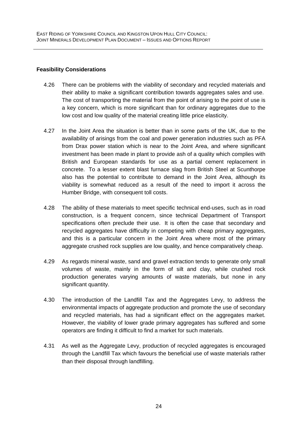#### **Feasibility Considerations**

- 4.26 There can be problems with the viability of secondary and recycled materials and their ability to make a significant contribution towards aggregates sales and use. The cost of transporting the material from the point of arising to the point of use is a key concern, which is more significant than for ordinary aggregates due to the low cost and low quality of the material creating little price elasticity.
- 4.27 In the Joint Area the situation is better than in some parts of the UK, due to the availability of arisings from the coal and power generation industries such as PFA from Drax power station which is near to the Joint Area, and where significant investment has been made in plant to provide ash of a quality which complies with British and European standards for use as a partial cement replacement in concrete. To a lesser extent blast furnace slag from British Steel at Scunthorpe also has the potential to contribute to demand in the Joint Area, although its viability is somewhat reduced as a result of the need to import it across the Humber Bridge, with consequent toll costs.
- 4.28 The ability of these materials to meet specific technical end-uses, such as in road construction, is a frequent concern, since technical Department of Transport specifications often preclude their use. It is often the case that secondary and recycled aggregates have difficulty in competing with cheap primary aggregates, and this is a particular concern in the Joint Area where most of the primary aggregate crushed rock supplies are low quality, and hence comparatively cheap.
- 4.29 As regards mineral waste, sand and gravel extraction tends to generate only small volumes of waste, mainly in the form of silt and clay, while crushed rock production generates varying amounts of waste materials, but none in any significant quantity.
- 4.30 The introduction of the Landfill Tax and the Aggregates Levy, to address the environmental impacts of aggregate production and promote the use of secondary and recycled materials, has had a significant effect on the aggregates market. However, the viability of lower grade primary aggregates has suffered and some operators are finding it difficult to find a market for such materials.
- 4.31 As well as the Aggregate Levy, production of recycled aggregates is encouraged through the Landfill Tax which favours the beneficial use of waste materials rather than their disposal through landfilling.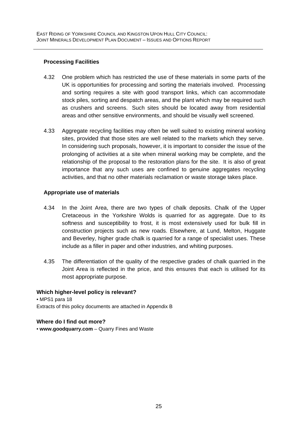#### **Processing Facilities**

- 4.32 One problem which has restricted the use of these materials in some parts of the UK is opportunities for processing and sorting the materials involved. Processing and sorting requires a site with good transport links, which can accommodate stock piles, sorting and despatch areas, and the plant which may be required such as crushers and screens. Such sites should be located away from residential areas and other sensitive environments, and should be visually well screened.
- 4.33 Aggregate recycling facilities may often be well suited to existing mineral working sites, provided that those sites are well related to the markets which they serve. In considering such proposals, however, it is important to consider the issue of the prolonging of activities at a site when mineral working may be complete, and the relationship of the proposal to the restoration plans for the site. It is also of great importance that any such uses are confined to genuine aggregates recycling activities, and that no other materials reclamation or waste storage takes place.

#### **Appropriate use of materials**

- 4.34 In the Joint Area, there are two types of chalk deposits. Chalk of the Upper Cretaceous in the Yorkshire Wolds is quarried for as aggregate. Due to its softness and susceptibility to frost, it is most extensively used for bulk fill in construction projects such as new roads. Elsewhere, at Lund, Melton, Huggate and Beverley, higher grade chalk is quarried for a range of specialist uses. These include as a filler in paper and other industries, and whiting purposes.
- 4.35 The differentiation of the quality of the respective grades of chalk quarried in the Joint Area is reflected in the price, and this ensures that each is utilised for its most appropriate purpose.

#### **Which higher-level policy is relevant?**

• MPS1 para 18 Extracts of this policy documents are attached in Appendix B

#### **Where do I find out more?**

• **www.goodquarry.com** – Quarry Fines and Waste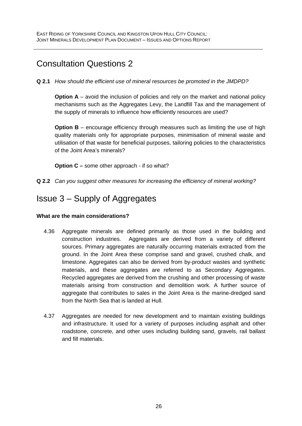# Consultation Questions 2

#### **Q 2.1** *How should the efficient use of mineral resources be promoted in the JMDPD?*

**Option A** – avoid the inclusion of policies and rely on the market and national policy mechanisms such as the Aggregates Levy, the Landfill Tax and the management of the supply of minerals to influence how efficiently resources are used?

**Option B** – encourage efficiency through measures such as limiting the use of high quality materials only for appropriate purposes, minimisation of mineral waste and utilisation of that waste for beneficial purposes, tailoring policies to the characteristics of the Joint Area's minerals?

**Option C** – some other approach - if so what?

**Q 2.2** *Can you suggest other measures for increasing the efficiency of mineral working?* 

# Issue 3 – Supply of Aggregates

#### **What are the main considerations?**

- 4.36 Aggregate minerals are defined primarily as those used in the building and construction industries. Aggregates are derived from a variety of different sources. Primary aggregates are naturally occurring materials extracted from the ground. In the Joint Area these comprise sand and gravel, crushed chalk, and limestone. Aggregates can also be derived from by-product wastes and synthetic materials, and these aggregates are referred to as Secondary Aggregates. Recycled aggregates are derived from the crushing and other processing of waste materials arising from construction and demolition work. A further source of aggregate that contributes to sales in the Joint Area is the marine-dredged sand from the North Sea that is landed at Hull.
- 4.37 Aggregates are needed for new development and to maintain existing buildings and infrastructure. It used for a variety of purposes including asphalt and other roadstone, concrete, and other uses including building sand, gravels, rail ballast and fill materials.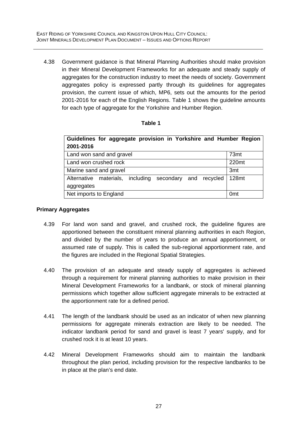4.38 Government guidance is that Mineral Planning Authorities should make provision in their Mineral Development Frameworks for an adequate and steady supply of aggregates for the construction industry to meet the needs of society. Government aggregates policy is expressed partly through its guidelines for aggregates provision, the current issue of which, MP6, sets out the amounts for the period 2001-2016 for each of the English Regions. Table 1 shows the guideline amounts for each type of aggregate for the Yorkshire and Humber Region.

#### **Table 1**

| Guidelines for aggregate provision in Yorkshire and Humber Region |                  |  |  |  |  |  |  |
|-------------------------------------------------------------------|------------------|--|--|--|--|--|--|
| 2001-2016                                                         |                  |  |  |  |  |  |  |
| Land won sand and gravel                                          | 73 <sub>mt</sub> |  |  |  |  |  |  |
| Land won crushed rock                                             | 220mt            |  |  |  |  |  |  |
| Marine sand and gravel                                            | 3 <sub>mt</sub>  |  |  |  |  |  |  |
| Alternative materials, including<br>secondary and recycled        | 128mt            |  |  |  |  |  |  |
| aggregates                                                        |                  |  |  |  |  |  |  |
| Net imports to England                                            | 0 <sub>mt</sub>  |  |  |  |  |  |  |

#### **Primary Aggregates**

- 4.39 For land won sand and gravel, and crushed rock, the guideline figures are apportioned between the constituent mineral planning authorities in each Region, and divided by the number of years to produce an annual apportionment, or assumed rate of supply. This is called the sub-regional apportionment rate, and the figures are included in the Regional Spatial Strategies.
- 4.40 The provision of an adequate and steady supply of aggregates is achieved through a requirement for mineral planning authorities to make provision in their Mineral Development Frameworks for a landbank, or stock of mineral planning permissions which together allow sufficient aggregate minerals to be extracted at the apportionment rate for a defined period.
- 4.41 The length of the landbank should be used as an indicator of when new planning permissions for aggregate minerals extraction are likely to be needed. The indicator landbank period for sand and gravel is least 7 years' supply, and for crushed rock it is at least 10 years.
- 4.42 Mineral Development Frameworks should aim to maintain the landbank throughout the plan period, including provision for the respective landbanks to be in place at the plan's end date.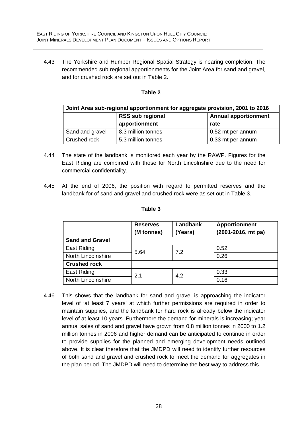4.43 The Yorkshire and Humber Regional Spatial Strategy is nearing completion. The recommended sub regional apportionments for the Joint Area for sand and gravel, and for crushed rock are set out in Table 2.

| anı<br>ł |  |
|----------|--|
|          |  |

| Joint Area sub-regional apportionment for aggregate provision, 2001 to 2016 |                         |                             |  |  |  |  |
|-----------------------------------------------------------------------------|-------------------------|-----------------------------|--|--|--|--|
|                                                                             | <b>RSS sub regional</b> | <b>Annual apportionment</b> |  |  |  |  |
|                                                                             | apportionment           | rate                        |  |  |  |  |
| Sand and gravel                                                             | 8.3 million tonnes      | 0.52 mt per annum           |  |  |  |  |
| Crushed rock                                                                | 5.3 million tonnes      | 0.33 mt per annum           |  |  |  |  |

- 4.44 The state of the landbank is monitored each year by the RAWP. Figures for the East Riding are combined with those for North Lincolnshire due to the need for commercial confidentiality.
- 4.45 At the end of 2006, the position with regard to permitted reserves and the landbank for of sand and gravel and crushed rock were as set out in Table 3.

|                           | <b>Reserves</b><br>(M tonnes) | Landbank<br>(Years) | <b>Apportionment</b><br>(2001-2016, mt pa) |
|---------------------------|-------------------------------|---------------------|--------------------------------------------|
| <b>Sand and Gravel</b>    |                               |                     |                                            |
| <b>East Riding</b>        | 5.64                          | 7.2                 | 0.52                                       |
| <b>North Lincolnshire</b> |                               |                     | 0.26                                       |
| <b>Crushed rock</b>       |                               |                     |                                            |
| East Riding               | 2.1                           | 4.2                 | 0.33                                       |
| <b>North Lincolnshire</b> |                               |                     | 0.16                                       |

4.46 This shows that the landbank for sand and gravel is approaching the indicator level of 'at least 7 years' at which further permissions are required in order to maintain supplies, and the landbank for hard rock is already below the indicator level of at least 10 years. Furthermore the demand for minerals is increasing; year annual sales of sand and gravel have grown from 0.8 million tonnes in 2000 to 1.2 million tonnes in 2006 and higher demand can be anticipated to continue in order to provide supplies for the planned and emerging development needs outlined above. It is clear therefore that the JMDPD will need to identify further resources of both sand and gravel and crushed rock to meet the demand for aggregates in the plan period. The JMDPD will need to determine the best way to address this.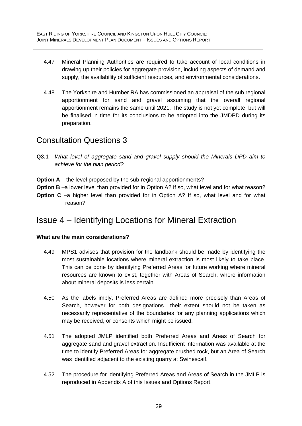- 4.47 Mineral Planning Authorities are required to take account of local conditions in drawing up their policies for aggregate provision, including aspects of demand and supply, the availability of sufficient resources, and environmental considerations.
- 4.48 The Yorkshire and Humber RA has commissioned an appraisal of the sub regional apportionment for sand and gravel assuming that the overall regional apportionment remains the same until 2021. The study is not yet complete, but will be finalised in time for its conclusions to be adopted into the JMDPD during its preparation.

## Consultation Questions 3

- **Q3.1** *What level of aggregate sand and gravel supply should the Minerals DPD aim to achieve for the plan period?*
- **Option A** the level proposed by the sub-regional apportionments?
- **Option B** –a lower level than provided for in Option A? If so, what level and for what reason?
- **Option C** –a higher level than provided for in Option A? If so, what level and for what reason?

# Issue 4 – Identifying Locations for Mineral Extraction

#### **What are the main considerations?**

- 4.49 MPS1 advises that provision for the landbank should be made by identifying the most sustainable locations where mineral extraction is most likely to take place. This can be done by identifying Preferred Areas for future working where mineral resources are known to exist, together with Areas of Search, where information about mineral deposits is less certain.
- 4.50 As the labels imply, Preferred Areas are defined more precisely than Areas of Search, however for both designations their extent should not be taken as necessarily representative of the boundaries for any planning applications which may be received, or consents which might be issued.
- 4.51 The adopted JMLP identified both Preferred Areas and Areas of Search for aggregate sand and gravel extraction. Insufficient information was available at the time to identify Preferred Areas for aggregate crushed rock, but an Area of Search was identified adjacent to the existing quarry at Swinescaif.
- 4.52 The procedure for identifying Preferred Areas and Areas of Search in the JMLP is reproduced in Appendix A of this Issues and Options Report.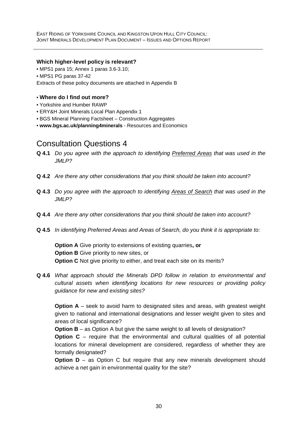#### **Which higher-level policy is relevant?**

• MPS1 para 15; Annex 1 paras 3.6-3.10;

• MPS1 PG paras 37-42

Extracts of these policy documents are attached in Appendix B

#### • **Where do I find out more?**

- Yorkshire and Humber RAWP
- ERY&H Joint Minerals Local Plan Appendix 1
- BGS Mineral Planning Factsheet Construction Aggregates
- **www.bgs.ac.uk/planning4minerals**  Resources and Economics

### Consultation Questions 4

- **Q 4.1** *Do you agree with the approach to identifying Preferred Areas that was used in the JMLP?*
- **Q 4.2** *Are there any other considerations that you think should be taken into account?*
- **Q 4.3** *Do you agree with the approach to identifying Areas of Search that was used in the JMLP?*
- **Q 4.4** *Are there any other considerations that you think should be taken into account?*
- **Q 4.5** *In identifying Preferred Areas and Areas of Search, do you think it is appropriate to:*

**Option A** Give priority to extensions of existing quarries**, or Option B** Give priority to new sites, or **Option C** Not give priority to either, and treat each site on its merits?

**Q 4.6** *What approach should the Minerals DPD follow in relation to environmental and cultural assets when identifying locations for new resources or providing policy guidance for new and existing sites?* 

**Option A** – seek to avoid harm to designated sites and areas, with greatest weight given to national and international designations and lesser weight given to sites and areas of local significance?

**Option B** – as Option A but give the same weight to all levels of designation?

**Option C** – require that the environmental and cultural qualities of all potential locations for mineral development are considered, regardless of whether they are formally designated?

**Option D** – as Option C but require that any new minerals development should achieve a net gain in environmental quality for the site?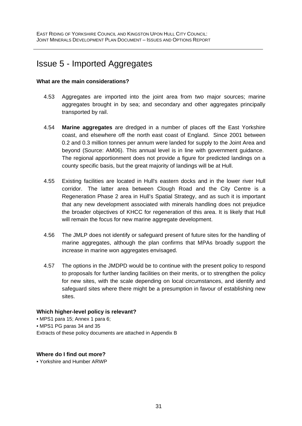# Issue 5 - Imported Aggregates

#### **What are the main considerations?**

- 4.53 Aggregates are imported into the joint area from two major sources; marine aggregates brought in by sea; and secondary and other aggregates principally transported by rail.
- 4.54 **Marine aggregates** are dredged in a number of places off the East Yorkshire coast, and elsewhere off the north east coast of England. Since 2001 between 0.2 and 0.3 million tonnes per annum were landed for supply to the Joint Area and beyond (Source: AM06). This annual level is in line with government guidance. The regional apportionment does not provide a figure for predicted landings on a county specific basis, but the great majority of landings will be at Hull.
- 4.55 Existing facilities are located in Hull's eastern docks and in the lower river Hull corridor. The latter area between Clough Road and the City Centre is a Regeneration Phase 2 area in Hull's Spatial Strategy, and as such it is important that any new development associated with minerals handling does not prejudice the broader objectives of KHCC for regeneration of this area. It is likely that Hull will remain the focus for new marine aggregate development.
- 4.56 The JMLP does not identify or safeguard present of future sites for the handling of marine aggregates, although the plan confirms that MPAs broadly support the increase in marine won aggregates envisaged.
- 4.57 The options in the JMDPD would be to continue with the present policy to respond to proposals for further landing facilities on their merits, or to strengthen the policy for new sites, with the scale depending on local circumstances, and identify and safeguard sites where there might be a presumption in favour of establishing new sites.

#### **Which higher-level policy is relevant?**

• MPS1 para 15; Annex 1 para 6; • MPS1 PG paras 34 and 35 Extracts of these policy documents are attached in Appendix B

#### **Where do I find out more?**

• Yorkshire and Humber ARWP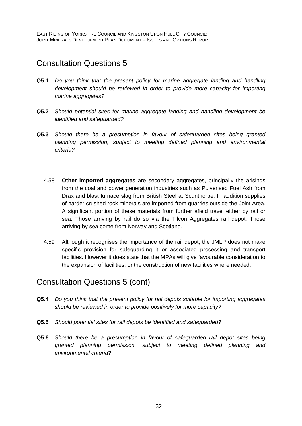### Consultation Questions 5

- **Q5.1** *Do you think that the present policy for marine aggregate landing and handling development should be reviewed in order to provide more capacity for importing marine aggregates?*
- **Q5.2** *Should potential sites for marine aggregate landing and handling development be identified and safeguarded?*
- **Q5.3** *Should there be a presumption in favour of safeguarded sites being granted planning permission, subject to meeting defined planning and environmental criteria?* 
	- 4.58 **Other imported aggregates** are secondary aggregates, principally the arisings from the coal and power generation industries such as Pulverised Fuel Ash from Drax and blast furnace slag from British Steel at Scunthorpe. In addition supplies of harder crushed rock minerals are imported from quarries outside the Joint Area. A significant portion of these materials from further afield travel either by rail or sea. Those arriving by rail do so via the Tilcon Aggregates rail depot. Those arriving by sea come from Norway and Scotland.
	- 4.59 Although it recognises the importance of the rail depot, the JMLP does not make specific provision for safeguarding it or associated processing and transport facilities. However it does state that the MPAs will give favourable consideration to the expansion of facilities, or the construction of new facilities where needed.

# Consultation Questions 5 (cont)

- **Q5.4** *Do you think that the present policy for rail depots suitable for importing aggregates should be reviewed in order to provide positively for more capacity?*
- **Q5.5** *Should potential sites for rail depots be identified and safeguarded***?**
- **Q5.6** *Should there be a presumption in favour of safeguarded rail depot sites being granted planning permission, subject to meeting defined planning and environmental criteria***?**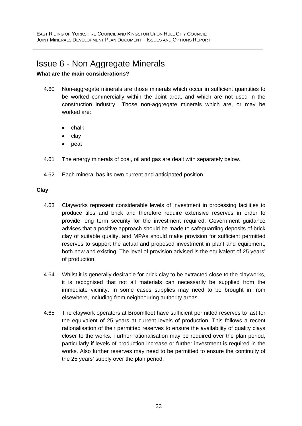# Issue 6 - Non Aggregate Minerals

#### **What are the main considerations?**

- 4.60 Non-aggregate minerals are those minerals which occur in sufficient quantities to be worked commercially within the Joint area, and which are not used in the construction industry. Those non-aggregate minerals which are, or may be worked are:
	- chalk
	- clay
	- peat
- 4.61 The energy minerals of coal, oil and gas are dealt with separately below.
- 4.62 Each mineral has its own current and anticipated position.

#### **Clay**

- 4.63 Clayworks represent considerable levels of investment in processing facilities to produce tiles and brick and therefore require extensive reserves in order to provide long term security for the investment required. Government guidance advises that a positive approach should be made to safeguarding deposits of brick clay of suitable quality, and MPAs should make provision for sufficient permitted reserves to support the actual and proposed investment in plant and equipment, both new and existing. The level of provision advised is the equivalent of 25 years' of production.
- 4.64 Whilst it is generally desirable for brick clay to be extracted close to the clayworks, it is recognised that not all materials can necessarily be supplied from the immediate vicinity. In some cases supplies may need to be brought in from elsewhere, including from neighbouring authority areas.
- 4.65 The claywork operators at Broomfleet have sufficient permitted reserves to last for the equivalent of 25 years at current levels of production. This follows a recent rationalisation of their permitted reserves to ensure the availability of quality clays closer to the works. Further rationalisation may be required over the plan period, particularly if levels of production increase or further investment is required in the works. Also further reserves may need to be permitted to ensure the continuity of the 25 years' supply over the plan period.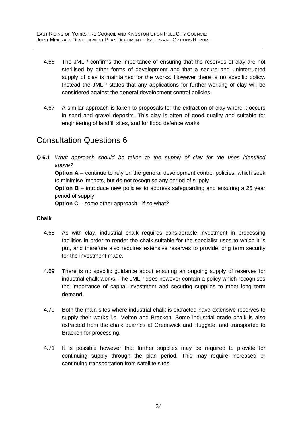- 4.66 The JMLP confirms the importance of ensuring that the reserves of clay are not sterilised by other forms of development and that a secure and uninterrupted supply of clay is maintained for the works. However there is no specific policy. Instead the JMLP states that any applications for further working of clay will be considered against the general development control policies.
- 4.67 A similar approach is taken to proposals for the extraction of clay where it occurs in sand and gravel deposits. This clay is often of good quality and suitable for engineering of landfill sites, and for flood defence works.

# Consultation Questions 6

**Q 6.1** *What approach should be taken to the supply of clay for the uses identified above?* 

**Option A** – continue to rely on the general development control policies, which seek to minimise impacts, but do not recognise any period of supply

**Option B** – introduce new policies to address safeguarding and ensuring a 25 year period of supply

**Option C** – some other approach - if so what?

#### **Chalk**

- 4.68 As with clay, industrial chalk requires considerable investment in processing facilities in order to render the chalk suitable for the specialist uses to which it is put, and therefore also requires extensive reserves to provide long term security for the investment made.
- 4.69 There is no specific guidance about ensuring an ongoing supply of reserves for industrial chalk works. The JMLP does however contain a policy which recognises the importance of capital investment and securing supplies to meet long term demand.
- 4.70 Both the main sites where industrial chalk is extracted have extensive reserves to supply their works i.e. Melton and Bracken. Some industrial grade chalk is also extracted from the chalk quarries at Greenwick and Huggate, and transported to Bracken for processing.
- 4.71 It is possible however that further supplies may be required to provide for continuing supply through the plan period. This may require increased or continuing transportation from satellite sites.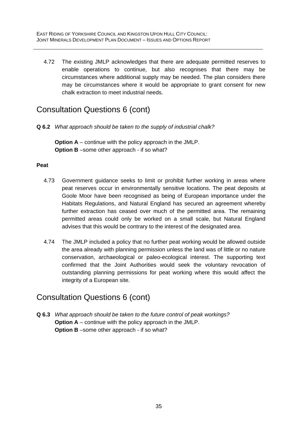4.72 The existing JMLP acknowledges that there are adequate permitted reserves to enable operations to continue, but also recognises that there may be circumstances where additional supply may be needed. The plan considers there may be circumstances where it would be appropriate to grant consent for new chalk extraction to meet industrial needs.

## Consultation Questions 6 (cont)

**Q 6.2** *What approach should be taken to the supply of industrial chalk?* 

**Option A** – continue with the policy approach in the JMLP. **Option B** –some other approach - if so what?

#### **Peat**

- 4.73 Government guidance seeks to limit or prohibit further working in areas where peat reserves occur in environmentally sensitive locations. The peat deposits at Goole Moor have been recognised as being of European importance under the Habitats Regulations, and Natural England has secured an agreement whereby further extraction has ceased over much of the permitted area. The remaining permitted areas could only be worked on a small scale, but Natural England advises that this would be contrary to the interest of the designated area.
- 4.74 The JMLP included a policy that no further peat working would be allowed outside the area already with planning permission unless the land was of little or no nature conservation, archaeological or paleo-ecological interest. The supporting text confirmed that the Joint Authorities would seek the voluntary revocation of outstanding planning permissions for peat working where this would affect the integrity of a European site.

### Consultation Questions 6 (cont)

**Q 6.3** *What approach should be taken to the future control of peak workings?*  **Option A** – continue with the policy approach in the JMLP. **Option B** –some other approach - if so what?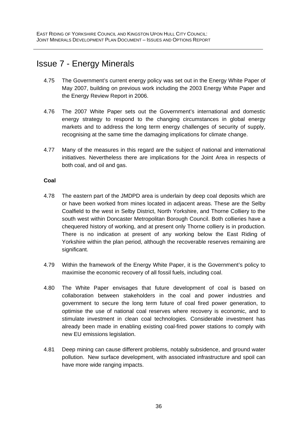# Issue 7 - Energy Minerals

- 4.75 The Government's current energy policy was set out in the [Energy White Paper of](http://www.dti.gov.uk/energy/whitepaper/page39534.html)  [May 2007](http://www.dti.gov.uk/energy/whitepaper/page39534.html), building on previous work including the [2003 Energy White Paper](http://www.dti.gov.uk/energy/policy-strategy/energy-white-paper-2003/page21223.html) and the [Energy Review Report in 2006.](http://www.dti.gov.uk/energy/review/page31995.html)
- 4.76 The 2007 White Paper sets out the Government's international and domestic energy strategy to respond to the changing circumstances in global energy markets and to address the long term energy challenges of security of supply, recognising at the same time the damaging implications for climate change.
- 4.77 Many of the measures in this regard are the subject of national and international initiatives. Nevertheless there are implications for the Joint Area in respects of both coal, and oil and gas.

#### **Coal**

- 4.78 The eastern part of the JMDPD area is underlain by deep coal deposits which are or have been worked from mines located in adjacent areas. These are the Selby Coalfield to the west in Selby District, North Yorkshire, and Thorne Colliery to the south west within Doncaster Metropolitan Borough Council. Both collieries have a chequered history of working, and at present only Thorne colliery is in production. There is no indication at present of any working below the East Riding of Yorkshire within the plan period, although the recoverable reserves remaining are significant.
- 4.79 Within the framework of the Energy White Paper, it is the Government's policy to maximise the economic recovery of all fossil fuels, including coal.
- 4.80 The White Paper envisages that future development of coal is based on collaboration between stakeholders in the coal and power industries and government to secure the long term future of coal fired power generation, to optimise the use of national coal reserves where recovery is economic, and to stimulate investment in clean coal technologies. Considerable investment has already been made in enabling existing coal-fired power stations to comply with new EU emissions legislation.
- 4.81 Deep mining can cause different problems, notably subsidence, and ground water pollution. New surface development, with associated infrastructure and spoil can have more wide ranging impacts.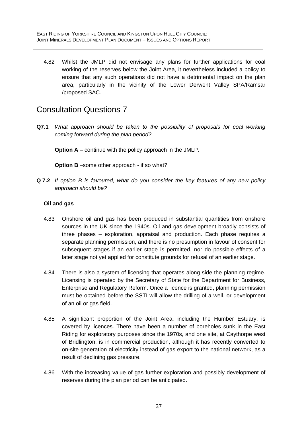4.82 Whilst the JMLP did not envisage any plans for further applications for coal working of the reserves below the Joint Area, it nevertheless included a policy to ensure that any such operations did not have a detrimental impact on the plan area, particularly in the vicinity of the Lower Derwent Valley SPA/Ramsar /proposed SAC.

### Consultation Questions 7

**Q7.1** *What approach should be taken to the possibility of proposals for coal working coming forward during the plan period?* 

**Option A** – continue with the policy approach in the JMLP.

**Option B** –some other approach - if so what?

**Q 7.2** *If option B is favoured, what do you consider the key features of any new policy approach should be?* 

#### **Oil and gas**

- 4.83 Onshore oil and gas has been produced in substantial quantities from onshore sources in the UK since the 1940s. Oil and gas development broadly consists of three phases – exploration, appraisal and production. Each phase requires a separate planning permission, and there is no presumption in favour of consent for subsequent stages if an earlier stage is permitted, nor do possible effects of a later stage not yet applied for constitute grounds for refusal of an earlier stage.
- 4.84 There is also a system of licensing that operates along side the planning regime. Licensing is operated by the Secretary of State for the Department for Business, Enterprise and Regulatory Reform. Once a licence is granted, planning permission must be obtained before the SSTI will allow the drilling of a well, or development of an oil or gas field.
- 4.85 A significant proportion of the Joint Area, including the Humber Estuary, is covered by licences. There have been a number of boreholes sunk in the East Riding for exploratory purposes since the 1970s, and one site, at Caythorpe west of Bridlington, is in commercial production, although it has recently converted to on-site generation of electricity instead of gas export to the national network, as a result of declining gas pressure.
- 4.86 With the increasing value of gas further exploration and possibly development of reserves during the plan period can be anticipated.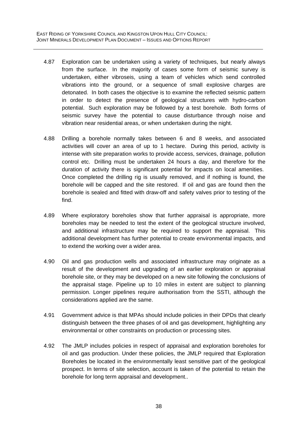- 4.87 Exploration can be undertaken using a variety of techniques, but nearly always from the surface. In the majority of cases some form of seismic survey is undertaken, either vibroseis, using a team of vehicles which send controlled vibrations into the ground, or a sequence of small explosive charges are detonated. In both cases the objective is to examine the reflected seismic pattern in order to detect the presence of geological structures with hydro-carbon potential. Such exploration may be followed by a test borehole. Both forms of seismic survey have the potential to cause disturbance through noise and vibration near residential areas, or when undertaken during the night.
- 4.88 Drilling a borehole normally takes between 6 and 8 weeks, and associated activities will cover an area of up to 1 hectare. During this period, activity is intense with site preparation works to provide access, services, drainage, pollution control etc. Drilling must be undertaken 24 hours a day, and therefore for the duration of activity there is significant potential for impacts on local amenities. Once completed the drilling rig is usually removed, and if nothing is found, the borehole will be capped and the site restored. If oil and gas are found then the borehole is sealed and fitted with draw-off and safety valves prior to testing of the find.
- 4.89 Where exploratory boreholes show that further appraisal is appropriate, more boreholes may be needed to test the extent of the geological structure involved, and additional infrastructure may be required to support the appraisal. This additional development has further potential to create environmental impacts, and to extend the working over a wider area.
- 4.90 Oil and gas production wells and associated infrastructure may originate as a result of the development and upgrading of an earlier exploration or appraisal borehole site, or they may be developed on a new site following the conclusions of the appraisal stage. Pipeline up to 10 miles in extent are subject to planning permission. Longer pipelines require authorisation from the SSTI, although the considerations applied are the same.
- 4.91 Government advice is that MPAs should include policies in their DPDs that clearly distinguish between the three phases of oil and gas development, highlighting any environmental or other constraints on production or processing sites.
- 4.92 The JMLP includes policies in respect of appraisal and exploration boreholes for oil and gas production. Under these policies, the JMLP required that Exploration Boreholes be located in the environmentally least sensitive part of the geological prospect. In terms of site selection, account is taken of the potential to retain the borehole for long term appraisal and development..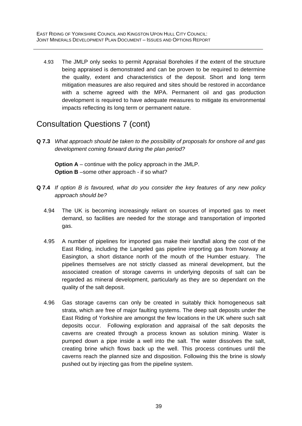4.93 The JMLP only seeks to permit Appraisal Boreholes if the extent of the structure being appraised is demonstrated and can be proven to be required to determine the quality, extent and characteristics of the deposit. Short and long term mitigation measures are also required and sites should be restored in accordance with a scheme agreed with the MPA. Permanent oil and gas production development is required to have adequate measures to mitigate its environmental impacts reflecting its long term or permanent nature.

## Consultation Questions 7 (cont)

**Q 7.3** *What approach should be taken to the possibility of proposals for onshore oil and gas development coming forward during the plan period?* 

**Option A** – continue with the policy approach in the JMLP. **Option B** –some other approach - if so what?

- **Q 7.4** *If option B is favoured, what do you consider the key features of any new policy approach should be?* 
	- 4.94 The UK is becoming increasingly reliant on sources of imported gas to meet demand, so facilities are needed for the storage and transportation of imported gas.
	- 4.95 A number of pipelines for imported gas make their landfall along the cost of the East Riding, including the Langeled gas pipeline importing gas from Norway at Easington, a short distance north of the mouth of the Humber estuary. The pipelines themselves are not strictly classed as mineral development, but the associated creation of storage caverns in underlying deposits of salt can be regarded as mineral development, particularly as they are so dependant on the quality of the salt deposit.
	- 4.96 Gas storage caverns can only be created in suitably thick homogeneous salt strata, which are free of major faulting systems. The deep salt deposits under the East Riding of Yorkshire are amongst the few locations in the UK where such salt deposits occur. Following exploration and appraisal of the salt deposits the caverns are created through a process known as solution mining. Water is pumped down a pipe inside a well into the salt. The water dissolves the salt, creating brine which flows back up the well. This process continues until the caverns reach the planned size and disposition. Following this the brine is slowly pushed out by injecting gas from the pipeline system.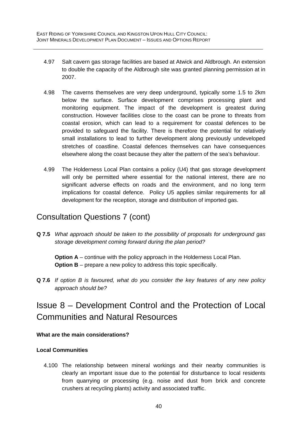- 4.97 Salt cavern gas storage facilities are based at Atwick and Aldbrough. An extension to double the capacity of the Aldbrough site was granted planning permission at in 2007.
- 4.98 The caverns themselves are very deep underground, typically some 1.5 to 2km below the surface. Surface development comprises processing plant and monitoring equipment. The impact of the development is greatest during construction. However facilities close to the coast can be prone to threats from coastal erosion, which can lead to a requirement for coastal defences to be provided to safeguard the facility. There is therefore the potential for relatively small installations to lead to further development along previously undeveloped stretches of coastline. Coastal defences themselves can have consequences elsewhere along the coast because they alter the pattern of the sea's behaviour.
- 4.99 The Holderness Local Plan contains a policy (U4) that gas storage development will only be permitted where essential for the national interest, there are no significant adverse effects on roads and the environment, and no long term implications for coastal defence. Policy U5 applies similar requirements for all development for the reception, storage and distribution of imported gas.

### Consultation Questions 7 (cont)

**Q 7.5** *What approach should be taken to the possibility of proposals for underground gas storage development coming forward during the plan period?* 

**Option A** – continue with the policy approach in the Holderness Local Plan. **Option B** – prepare a new policy to address this topic specifically.

**Q 7.6** *If option B is favoured, what do you consider the key features of any new policy approach should be?* 

# Issue 8 – Development Control and the Protection of Local Communities and Natural Resources

#### **What are the main considerations?**

#### **Local Communities**

4.100 The relationship between mineral workings and their nearby communities is clearly an important issue due to the potential for disturbance to local residents from quarrying or processing (e.g. noise and dust from brick and concrete crushers at recycling plants) activity and associated traffic.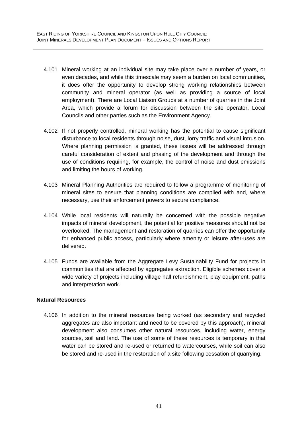- 4.101 Mineral working at an individual site may take place over a number of years, or even decades, and while this timescale may seem a burden on local communities, it does offer the opportunity to develop strong working relationships between community and mineral operator (as well as providing a source of local employment). There are Local Liaison Groups at a number of quarries in the Joint Area, which provide a forum for discussion between the site operator, Local Councils and other parties such as the Environment Agency.
- 4.102 If not properly controlled, mineral working has the potential to cause significant disturbance to local residents through noise, dust, lorry traffic and visual intrusion. Where planning permission is granted, these issues will be addressed through careful consideration of extent and phasing of the development and through the use of conditions requiring, for example, the control of noise and dust emissions and limiting the hours of working.
- 4.103 Mineral Planning Authorities are required to follow a programme of monitoring of mineral sites to ensure that planning conditions are complied with and, where necessary, use their enforcement powers to secure compliance.
- 4.104 While local residents will naturally be concerned with the possible negative impacts of mineral development, the potential for positive measures should not be overlooked. The management and restoration of quarries can offer the opportunity for enhanced public access, particularly where amenity or leisure after-uses are delivered.
- 4.105 Funds are available from the Aggregate Levy Sustainability Fund for projects in communities that are affected by aggregates extraction. Eligible schemes cover a wide variety of projects including village hall refurbishment, play equipment, paths and interpretation work.

#### **Natural Resources**

4.106 In addition to the mineral resources being worked (as secondary and recycled aggregates are also important and need to be covered by this approach), mineral development also consumes other natural resources, including water, energy sources, soil and land. The use of some of these resources is temporary in that water can be stored and re-used or returned to watercourses, while soil can also be stored and re-used in the restoration of a site following cessation of quarrying.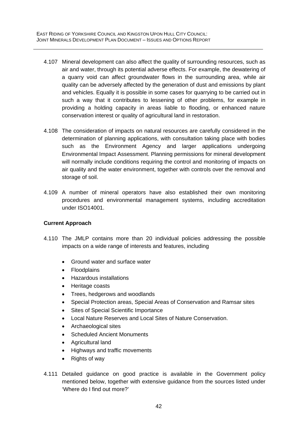- 4.107 Mineral development can also affect the quality of surrounding resources, such as air and water, through its potential adverse effects. For example, the dewatering of a quarry void can affect groundwater flows in the surrounding area, while air quality can be adversely affected by the generation of dust and emissions by plant and vehicles. Equally it is possible in some cases for quarrying to be carried out in such a way that it contributes to lessening of other problems, for example in providing a holding capacity in areas liable to flooding, or enhanced nature conservation interest or quality of agricultural land in restoration.
- 4.108 The consideration of impacts on natural resources are carefully considered in the determination of planning applications, with consultation taking place with bodies such as the Environment Agency and larger applications undergoing Environmental Impact Assessment. Planning permissions for mineral development will normally include conditions requiring the control and monitoring of impacts on air quality and the water environment, together with controls over the removal and storage of soil.
- 4.109 A number of mineral operators have also established their own monitoring procedures and environmental management systems, including accreditation under ISO14001.

#### **Current Approach**

- 4.110 The JMLP contains more than 20 individual policies addressing the possible impacts on a wide range of interests and features, including
	- Ground water and surface water
	- Floodplains
	- Hazardous installations
	- Heritage coasts
	- Trees, hedgerows and woodlands
	- Special Protection areas, Special Areas of Conservation and Ramsar sites
	- Sites of Special Scientific Importance
	- Local Nature Reserves and Local Sites of Nature Conservation.
	- Archaeological sites
	- Scheduled Ancient Monuments
	- Agricultural land
	- Highways and traffic movements
	- Rights of way
- 4.111 Detailed guidance on good practice is available in the Government policy mentioned below, together with extensive guidance from the sources listed under 'Where do I find out more?'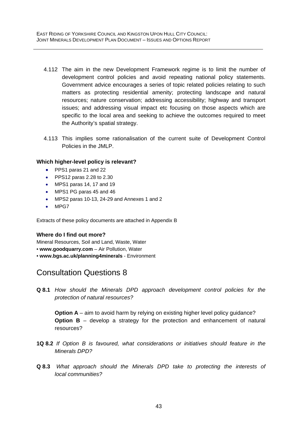- 4.112 The aim in the new Development Framework regime is to limit the number of development control policies and avoid repeating national policy statements. Government advice encourages a series of topic related policies relating to such matters as protecting residential amenity; protecting landscape and natural resources; nature conservation; addressing accessibility; highway and transport issues; and addressing visual impact etc focusing on those aspects which are specific to the local area and seeking to achieve the outcomes required to meet the Authority's spatial strategy.
- 4.113 This implies some rationalisation of the current suite of Development Control Policies in the JMLP.

#### **Which higher-level policy is relevant?**

- PPS1 paras 21 and 22
- PPS12 paras 2.28 to 2.30
- MPS1 paras 14, 17 and 19
- MPS1 PG paras 45 and 46
- MPS2 paras 10-13, 24-29 and Annexes 1 and 2
- MPG7

Extracts of these policy documents are attached in Appendix B

#### **Where do I find out more?**

Mineral Resources, Soil and Land, Waste, Water

- **www.goodquarry.com**  Air Pollution, Water
- **www.bgs.ac.uk/planning4minerals**  Environment

# Consultation Questions 8

**Q 8.1** *How should the Minerals DPD approach development control policies for the protection of natural resources?* 

**Option A** – aim to avoid harm by relying on existing higher level policy guidance? **Option B** – develop a strategy for the protection and enhancement of natural resources?

- **1Q 8.2** *If Option B is favoured, what considerations or initiatives should feature in the Minerals DPD?*
- **Q 8.3** *What approach should the Minerals DPD take to protecting the interests of local communities?*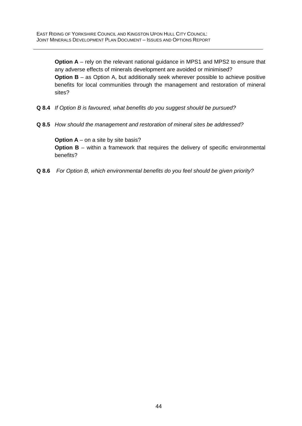**Option A** – rely on the relevant national guidance in MPS1 and MPS2 to ensure that any adverse effects of minerals development are avoided or minimised? **Option B** – as Option A, but additionally seek wherever possible to achieve positive benefits for local communities through the management and restoration of mineral sites?

- **Q 8.4** *If Option B is favoured, what benefits do you suggest should be pursued?*
- **Q 8.5** *How should the management and restoration of mineral sites be addressed?*

**Option A** – on a site by site basis? **Option B** – within a framework that requires the delivery of specific environmental benefits?

**Q 8.6** *For Option B, which environmental benefits do you feel should be given priority?*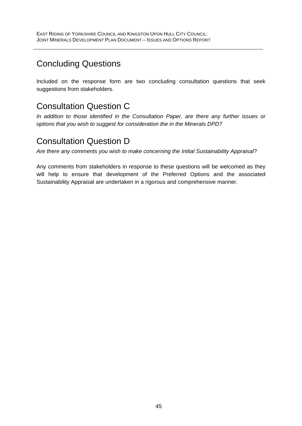# Concluding Questions

Included on the response form are two concluding consultation questions that seek suggestions from stakeholders.

# Consultation Question C

*In addition to those identified in the Consultation Paper, are there any further issues or options that you wish to suggest for consideration the in the Minerals DPD?* 

# Consultation Question D

*Are there any comments you wish to make concerning the Initial Sustainability Appraisal*?

Any comments from stakeholders in response to these questions will be welcomed as they will help to ensure that development of the Preferred Options and the associated Sustainability Appraisal are undertaken in a rigorous and comprehensive manner.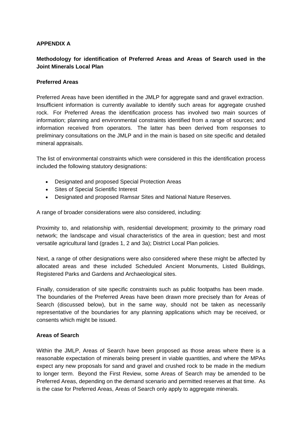#### **APPENDIX A**

#### **Methodology for identification of Preferred Areas and Areas of Search used in the Joint Minerals Local Plan**

#### **Preferred Areas**

Preferred Areas have been identified in the JMLP for aggregate sand and gravel extraction. Insufficient information is currently available to identify such areas for aggregate crushed rock. For Preferred Areas the identification process has involved two main sources of information; planning and environmental constraints identified from a range of sources; and information received from operators. The latter has been derived from responses to preliminary consultations on the JMLP and in the main is based on site specific and detailed mineral appraisals.

The list of environmental constraints which were considered in this the identification process included the following statutory designations:

- Designated and proposed Special Protection Areas
- Sites of Special Scientific Interest
- Designated and proposed Ramsar Sites and National Nature Reserves.

A range of broader considerations were also considered, including:

Proximity to, and relationship with, residential development; proximity to the primary road network; the landscape and visual characteristics of the area in question; best and most versatile agricultural land (grades 1, 2 and 3a); District Local Plan policies.

Next, a range of other designations were also considered where these might be affected by allocated areas and these included Scheduled Ancient Monuments, Listed Buildings, Registered Parks and Gardens and Archaeological sites.

Finally, consideration of site specific constraints such as public footpaths has been made. The boundaries of the Preferred Areas have been drawn more precisely than for Areas of Search (discussed below), but in the same way, should not be taken as necessarily representative of the boundaries for any planning applications which may be received, or consents which might be issued.

#### **Areas of Search**

Within the JMLP, Areas of Search have been proposed as those areas where there is a reasonable expectation of minerals being present in viable quantities, and where the MPAs expect any new proposals for sand and gravel and crushed rock to be made in the medium to longer term. Beyond the First Review, some Areas of Search may be amended to be Preferred Areas, depending on the demand scenario and permitted reserves at that time. As is the case for Preferred Areas, Areas of Search only apply to aggregate minerals.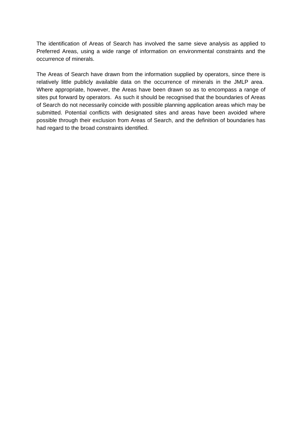The identification of Areas of Search has involved the same sieve analysis as applied to Preferred Areas, using a wide range of information on environmental constraints and the occurrence of minerals.

The Areas of Search have drawn from the information supplied by operators, since there is relatively little publicly available data on the occurrence of minerals in the JMLP area. Where appropriate, however, the Areas have been drawn so as to encompass a range of sites put forward by operators. As such it should be recognised that the boundaries of Areas of Search do not necessarily coincide with possible planning application areas which may be submitted. Potential conflicts with designated sites and areas have been avoided where possible through their exclusion from Areas of Search, and the definition of boundaries has had regard to the broad constraints identified.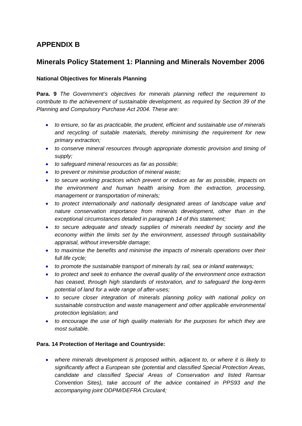### **APPENDIX B**

### **Minerals Policy Statement 1: Planning and Minerals November 2006**

#### **National Objectives for Minerals Planning**

**Para. 9** *The Government's objectives for minerals planning reflect the requirement to contribute to the achievement of sustainable development, as required by Section 39 of the Planning and Compulsory Purchase Act 2004. These are:* 

- *to ensure, so far as practicable, the prudent, efficient and sustainable use of minerals and recycling of suitable materials, thereby minimising the requirement for new primary extraction;*
- *to conserve mineral resources through appropriate domestic provision and timing of supply;*
- *to safeguard mineral resources as far as possible;*
- *to prevent or minimise production of mineral waste;*
- *to secure working practices which prevent or reduce as far as possible, impacts on the environment and human health arising from the extraction, processing, management or transportation of minerals;*
- *to protect internationally and nationally designated areas of landscape value and nature conservation importance from minerals development, other than in the exceptional circumstances detailed in paragraph 14 of this statement;*
- *to secure adequate and steady supplies of minerals needed by society and the economy within the limits set by the environment, assessed through sustainability appraisal, without irreversible damage;*
- *to maximise the benefits and minimise the impacts of minerals operations over their full life cycle;*
- *to promote the sustainable transport of minerals by rail, sea or inland waterways;*
- *to protect and seek to enhance the overall quality of the environment once extraction has ceased, through high standards of restoration, and to safeguard the long-term potential of land for a wide range of after-uses;*
- *to secure closer integration of minerals planning policy with national policy on sustainable construction and waste management and other applicable environmental protection legislation; and*
- *to encourage the use of high quality materials for the purposes for which they are most suitable.*

#### **Para. 14 Protection of Heritage and Countryside:**

• *where minerals development is proposed within, adjacent to, or where it is likely to significantly affect a European site (potential and classified Special Protection Areas, candidate and classified Special Areas of Conservation and listed Ramsar Convention Sites), take account of the advice contained in PPS93 and the accompanying joint ODPM/DEFRA Circular4;*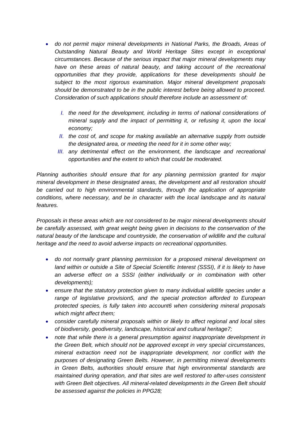- *do not permit major mineral developments in National Parks, the Broads, Areas of Outstanding Natural Beauty and World Heritage Sites except in exceptional circumstances. Because of the serious impact that major mineral developments may*  have on these areas of natural beauty, and taking account of the recreational *opportunities that they provide, applications for these developments should be subject to the most rigorous examination. Major mineral development proposals should be demonstrated to be in the public interest before being allowed to proceed. Consideration of such applications should therefore include an assessment of:* 
	- *I. the need for the development, including in terms of national considerations of mineral supply and the impact of permitting it, or refusing it, upon the local economy;*
	- *II. the cost of, and scope for making available an alternative supply from outside the designated area, or meeting the need for it in some other way;*
	- *III. any detrimental effect on the environment, the landscape and recreational opportunities and the extent to which that could be moderated.*

*Planning authorities should ensure that for any planning permission granted for major mineral development in these designated areas, the development and all restoration should be carried out to high environmental standards, through the application of appropriate conditions, where necessary, and be in character with the local landscape and its natural features.* 

*Proposals in these areas which are not considered to be major mineral developments should be carefully assessed, with great weight being given in decisions to the conservation of the natural beauty of the landscape and countryside, the conservation of wildlife and the cultural heritage and the need to avoid adverse impacts on recreational opportunities.* 

- *do not normally grant planning permission for a proposed mineral development on land within or outside a Site of Special Scientific Interest (SSSI), if it is likely to have*  an adverse effect on a SSSI (either individually or in combination with other *developments);*
- *ensure that the statutory protection given to many individual wildlife species under a range of legislative provision5, and the special protection afforded to European protected species, is fully taken into account6 when considering mineral proposals which might affect them;*
- *consider carefully mineral proposals within or likely to affect regional and local sites of biodiversity, geodiversity, landscape, historical and cultural heritage7;*
- *note that while there is a general presumption against inappropriate development in the Green Belt, which should not be approved except in very special circumstances, mineral extraction need not be inappropriate development, nor conflict with the purposes of designating Green Belts. However, in permitting mineral developments in Green Belts, authorities should ensure that high environmental standards are maintained during operation, and that sites are well restored to after-uses consistent with Green Belt objectives. All mineral-related developments in the Green Belt should be assessed against the policies in PPG28;*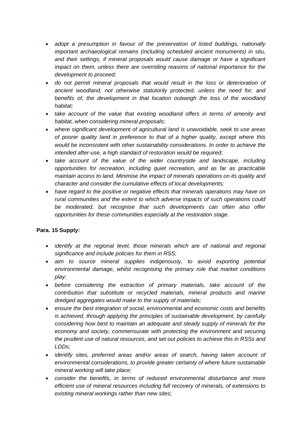- *adopt a presumption in favour of the preservation of listed buildings, nationally important archaeological remains (including scheduled ancient monuments) in situ, and their settings, if mineral proposals would cause damage or have a significant impact on them, unless there are overriding reasons of national importance for the development to proceed;*
- *do not permit mineral proposals that would result in the loss or deterioration of ancient woodland, not otherwise statutorily protected, unless the need for, and benefits of, the development in that location outweigh the loss of the woodland habitat;*
- *take account of the value that existing woodland offers in terms of amenity and habitat, when considering mineral proposals;*
- *where significant development of agricultural land is unavoidable, seek to use areas of poorer quality land in preference to that of a higher quality, except where this would be inconsistent with other sustainability considerations. In order to achieve the intended after-use, a high standard of restoration would be required;*
- *take account of the value of the wider countryside and landscape, including opportunities for recreation, including quiet recreation, and as far as practicable maintain access to land. Minimise the impact of minerals operations on its quality and character and consider the cumulative effects of local developments;*
- *have regard to the positive or negative effects that minerals operations may have on rural communities and the extent to which adverse impacts of such operations could be moderated, but recognise that such developments can often also offer opportunities for these communities especially at the restoration stage.*

#### **Para. 15 Supply:**

- *identify at the regional level, those minerals which are of national and regional significance and include policies for them in RSS;*
- *aim to source mineral supplies indigenously, to avoid exporting potential environmental damage, whilst recognising the primary role that market conditions play;*
- *before considering the extraction of primary materials, take account of the contribution that substitute or recycled materials, mineral products and marine dredged aggregates would make to the supply of materials;*
- *ensure the best integration of social, environmental and economic costs and benefits is achieved, through applying the principles of sustainable development, by carefully considering how best to maintain an adequate and steady supply of minerals for the*  economy and society, commensurate with protecting the environment and securing *the prudent use of natural resources, and set out policies to achieve this in RSSs and LDDs;*
- *identify sites, preferred areas and/or areas of search, having taken account of environmental considerations, to provide greater certainty of where future sustainable mineral working will take place;*
- *consider the benefits, in terms of reduced environmental disturbance and more efficient use of mineral resources including full recovery of minerals, of extensions to existing mineral workings rather than new sites;*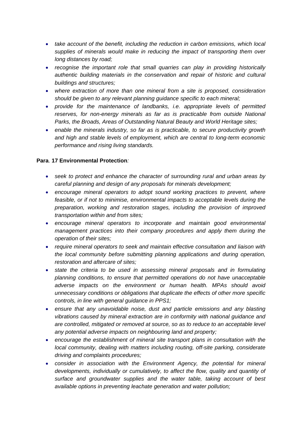- *take account of the benefit, including the reduction in carbon emissions, which local supplies of minerals would make in reducing the impact of transporting them over long distances by road;*
- *recognise the important role that small quarries can play in providing historically authentic building materials in the conservation and repair of historic and cultural buildings and structures;*
- *where extraction of more than one mineral from a site is proposed, consideration should be given to any relevant planning guidance specific to each mineral;*
- *provide for the maintenance of landbanks, i.e. appropriate levels of permitted*  reserves, for non-energy minerals as far as is practicable from outside National *Parks, the Broads, Areas of Outstanding Natural Beauty and World Heritage sites;*
- *enable the minerals industry, so far as is practicable, to secure productivity growth and high and stable levels of employment, which are central to long-term economic performance and rising living standards.*

#### **Para**. **17 Environmental Protection***:*

- *seek to protect and enhance the character of surrounding rural and urban areas by careful planning and design of any proposals for minerals development;*
- *encourage mineral operators to adopt sound working practices to prevent, where feasible, or if not to minimise, environmental impacts to acceptable levels during the preparation, working and restoration stages, including the provision of improved transportation within and from sites;*
- *encourage mineral operators to incorporate and maintain good environmental management practices into their company procedures and apply them during the operation of their sites;*
- *require mineral operators to seek and maintain effective consultation and liaison with the local community before submitting planning applications and during operation, restoration and aftercare of sites;*
- *state the criteria to be used in assessing mineral proposals and in formulating planning conditions, to ensure that permitted operations do not have unacceptable adverse impacts on the environment or human health. MPAs should avoid unnecessary conditions or obligations that duplicate the effects of other more specific controls, in line with general guidance in PPS1;*
- *ensure that any unavoidable noise, dust and particle emissions and any blasting vibrations caused by mineral extraction are in conformity with national guidance and are controlled, mitigated or removed at source, so as to reduce to an acceptable level any potential adverse impacts on neighbouring land and property;*
- *encourage the establishment of mineral site transport plans in consultation with the local community, dealing with matters including routing, off-site parking, considerate driving and complaints procedures;*
- *consider in association with the Environment Agency, the potential for mineral developments, individually or cumulatively, to affect the flow, quality and quantity of surface and groundwater supplies and the water table, taking account of best available options in preventing leachate generation and water pollution;*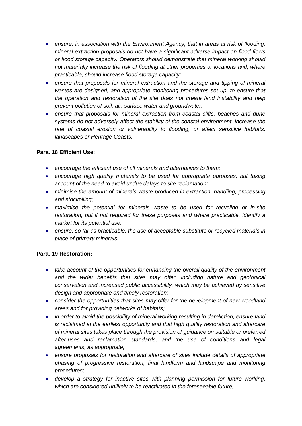- *ensure, in association with the Environment Agency, that in areas at risk of flooding, mineral extraction proposals do not have a significant adverse impact on flood flows or flood storage capacity. Operators should demonstrate that mineral working should not materially increase the risk of flooding at other properties or locations and, where practicable, should increase flood storage capacity;*
- *ensure that proposals for mineral extraction and the storage and tipping of mineral wastes are designed, and appropriate monitoring procedures set up, to ensure that the operation and restoration of the site does not create land instability and help prevent pollution of soil, air, surface water and groundwater;*
- *ensure that proposals for mineral extraction from coastal cliffs, beaches and dune systems do not adversely affect the stability of the coastal environment, increase the rate of coastal erosion or vulnerability to flooding, or affect sensitive habitats, landscapes or Heritage Coasts.*

#### **Para**. **18 Efficient Use:**

- *encourage the efficient use of all minerals and alternatives to them;*
- *encourage high quality materials to be used for appropriate purposes, but taking account of the need to avoid undue delays to site reclamation;*
- *minimise the amount of minerals waste produced in extraction, handling, processing and stockpiling;*
- *maximise the potential for minerals waste to be used for recycling or in-site restoration, but if not required for these purposes and where practicable, identify a market for its potential use;*
- *ensure, so far as practicable, the use of acceptable substitute or recycled materials in place of primary minerals.*

#### **Para. 19 Restoration:**

- *take account of the opportunities for enhancing the overall quality of the environment and the wider benefits that sites may offer, including nature and geological conservation and increased public accessibility, which may be achieved by sensitive design and appropriate and timely restoration;*
- *consider the opportunities that sites may offer for the development of new woodland areas and for providing networks of habitats;*
- *in order to avoid the possibility of mineral working resulting in dereliction, ensure land is reclaimed at the earliest opportunity and that high quality restoration and aftercare of mineral sites takes place through the provision of guidance on suitable or preferred after-uses and reclamation standards, and the use of conditions and legal agreements, as appropriate;*
- *ensure proposals for restoration and aftercare of sites include details of appropriate phasing of progressive restoration, final landform and landscape and monitoring procedures;*
- *develop a strategy for inactive sites with planning permission for future working, which are considered unlikely to be reactivated in the foreseeable future;*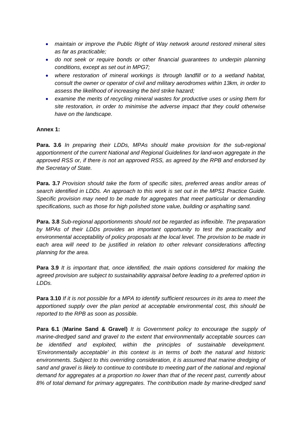- *maintain or improve the Public Right of Way network around restored mineral sites as far as practicable;*
- *do not seek or require bonds or other financial guarantees to underpin planning conditions, except as set out in MPG7;*
- *where restoration of mineral workings is through landfill or to a wetland habitat, consult the owner or operator of civil and military aerodromes within 13km, in order to assess the likelihood of increasing the bird strike hazard;*
- *examine the merits of recycling mineral wastes for productive uses or using them for site restoration, in order to minimise the adverse impact that they could otherwise have on the landscape.*

#### **Annex 1:**

**Para. 3.6** *In preparing their LDDs, MPAs should make provision for the sub-regional apportionment of the current National and Regional Guidelines for land-won aggregate in the approved RSS or, if there is not an approved RSS, as agreed by the RPB and endorsed by the Secretary of State.*

**Para. 3.7** *Provision should take the form of specific sites, preferred areas and/or areas of search identified in LDDs. An approach to this work is set out in the MPS1 Practice Guide. Specific provision may need to be made for aggregates that meet particular or demanding specifications, such as those for high polished stone value, building or asphalting sand.*

**Para. 3.8** *Sub-regional apportionments should not be regarded as inflexible. The preparation by MPAs of their LDDs provides an important opportunity to test the practicality and environmental acceptability of policy proposals at the local level. The provision to be made in*  each area will need to be justified in relation to other relevant considerations affecting *planning for the area.* 

**Para 3.9** *It is important that, once identified, the main options considered for making the agreed provision are subject to sustainability appraisal before leading to a preferred option in LDDs.* 

**Para 3.10** *If it is not possible for a MPA to identify sufficient resources in its area to meet the apportioned supply over the plan period at acceptable environmental cost, this should be reported to the RPB as soon as possible.*

**Para 6.1** (**Marine Sand & Gravel)** *It is Government policy to encourage the supply of marine-dredged sand and gravel to the extent that environmentally acceptable sources can be identified and exploited, within the principles of sustainable development. 'Environmentally acceptable' in this context is in terms of both the natural and historic environments. Subject to this overriding consideration, it is assumed that marine dredging of sand and gravel is likely to continue to contribute to meeting part of the national and regional demand for aggregates at a proportion no lower than that of the recent past, currently about 8% of total demand for primary aggregates. The contribution made by marine-dredged sand*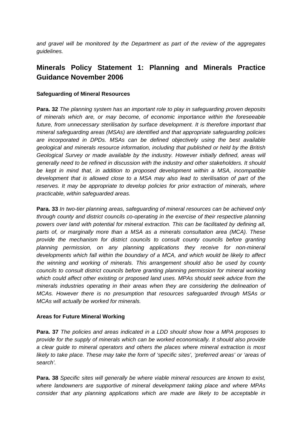*and gravel will be monitored by the Department as part of the review of the aggregates guidelines.* 

### **Minerals Policy Statement 1: Planning and Minerals Practice Guidance November 2006**

#### **Safeguarding of Mineral Resources**

**Para. 32** *The planning system has an important role to play in safeguarding proven deposits of minerals which are, or may become, of economic importance within the foreseeable future, from unnecessary sterilisation by surface development. It is therefore important that mineral safeguarding areas (MSAs) are identified and that appropriate safeguarding policies are incorporated in DPDs. MSAs can be defined objectively using the best available geological and minerals resource information, including that published or held by the British Geological Survey or made available by the industry. However initially defined, areas will generally need to be refined in discussion with the industry and other stakeholders. It should*  be kept in mind that, in addition to proposed development within a MSA, incompatible *development that is allowed close to a MSA may also lead to sterilisation of part of the reserves. It may be appropriate to develop policies for prior extraction of minerals, where practicable, within safeguarded areas.* 

**Para. 33** *In two-tier planning areas, safeguarding of mineral resources can be achieved only through county and district councils co-operating in the exercise of their respective planning powers over land with potential for mineral extraction. This can be facilitated by defining all, parts of, or marginally more than a MSA as a minerals consultation area (MCA). These provide the mechanism for district councils to consult county councils before granting planning permission, on any planning applications they receive for non-mineral developments which fall within the boundary of a MCA, and which would be likely to affect the winning and working of minerals. This arrangement should also be used by county councils to consult district councils before granting planning permission for mineral working which could affect other existing or proposed land uses. MPAs should seek advice from the minerals industries operating in their areas when they are considering the delineation of MCAs. However there is no presumption that resources safeguarded through MSAs or MCAs will actually be worked for minerals.* 

#### **Areas for Future Mineral Working**

**Para. 37** *The policies and areas indicated in a LDD should show how a MPA proposes to provide for the supply of minerals which can be worked economically. It should also provide a clear guide to mineral operators and others the places where mineral extraction is most likely to take place. These may take the form of 'specific sites', 'preferred areas' or 'areas of search'.* 

**Para. 38** *Specific sites will generally be where viable mineral resources are known to exist, where landowners are supportive of mineral development taking place and where MPAs consider that any planning applications which are made are likely to be acceptable in*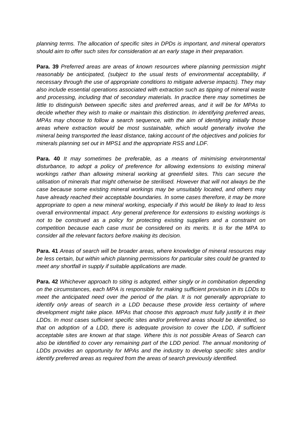*planning terms. The allocation of specific sites in DPDs is important, and mineral operators should aim to offer such sites for consideration at an early stage in their preparation.* 

**Para. 39** *Preferred areas are areas of known resources where planning permission might reasonably be anticipated, (subject to the usual tests of environmental acceptability, if necessary through the use of appropriate conditions to mitigate adverse impacts). They may also include essential operations associated with extraction such as tipping of mineral waste and processing, including that of secondary materials. In practice there may sometimes be little to distinguish between specific sites and preferred areas, and it will be for MPAs to decide whether they wish to make or maintain this distinction. In identifying preferred areas, MPAs may choose to follow a search sequence, with the aim of identifying initially those areas where extraction would be most sustainable, which would generally involve the mineral being transported the least distance, taking account of the objectives and policies for minerals planning set out in MPS1 and the appropriate RSS and LDF.*

**Para. 40** *It may sometimes be preferable, as a means of minimising environmental disturbance, to adopt a policy of preference for allowing extensions to existing mineral workings rather than allowing mineral working at greenfield sites. This can secure the utilisation of minerals that might otherwise be sterilised. However that will not always be the case because some existing mineral workings may be unsuitably located, and others may have already reached their acceptable boundaries. In some cases therefore, it may be more appropriate to open a new mineral working, especially if this would be likely to lead to less overall environmental impact. Any general preference for extensions to existing workings is not to be construed as a policy for protecting existing suppliers and a constraint on competition because each case must be considered on its merits. It is for the MPA to consider all the relevant factors before making its decision.* 

**Para. 41** *Areas of search will be broader areas, where knowledge of mineral resources may be less certain, but within which planning permissions for particular sites could be granted to meet any shortfall in supply if suitable applications are made.* 

**Para. 42** *Whichever approach to siting is adopted, either singly or in combination depending on the circumstances, each MPA is responsible for making sufficient provision in its LDDs to meet the anticipated need over the period of the plan. It is not generally appropriate to identify only areas of search in a LDD because these provide less certainty of where development might take place. MPAs that choose this approach must fully justify it in their LDDs. In most cases sufficient specific sites and/or preferred areas should be identified, so that on adoption of a LDD, there is adequate provision to cover the LDD, if sufficient acceptable sites are known at that stage. Where this is not possible Areas of Search can*  also be identified to cover any remaining part of the LDD period. The annual monitoring of *LDDs provides an opportunity for MPAs and the industry to develop specific sites and/or identify preferred areas as required from the areas of search previously identified.*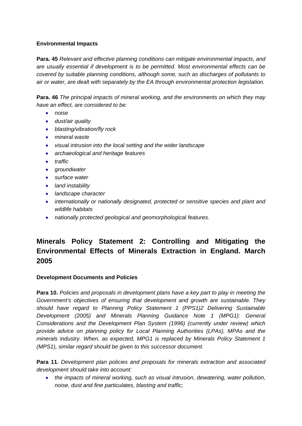#### **Environmental Impacts**

**Para. 45** *Relevant and effective planning conditions can mitigate environmental impacts, and are usually essential if development is to be permitted. Most environmental effects can be covered by suitable planning conditions, although some, such as discharges of pollutants to air or water, are dealt with separately by the EA through environmental protection legislation.* 

**Para. 46** *The principal impacts of mineral working, and the environments on which they may have an effect, are considered to be:* 

- *noise*
- *dust/air quality*
- *blasting/vibration/fly rock*
- *mineral waste*
- *visual intrusion into the local setting and the wider landscape*
- *archaeological and heritage features*
- *traffic*
- *groundwater*
- *surface water*
- *land instability*
- *landscape character*
- *internationally or nationally designated, protected or sensitive species and plant and wildlife habitats*
- *nationally protected geological and geomorphological features.*

### **Minerals Policy Statement 2: Controlling and Mitigating the Environmental Effects of Minerals Extraction in England. March 2005**

#### **Development Documents and Policies**

**Para 10.** *Policies and proposals in development plans have a key part to play in meeting the Government's objectives of ensuring that development and growth are sustainable. They should have regard to Planning Policy Statement 1 (PPS1)2 Delivering Sustainable Development (2005) and Minerals Planning Guidance Note 1 (MPG1): General Considerations and the Development Plan System (1996) (currently under review) which provide advice on planning policy for Local Planning Authorities (LPAs), MPAs and the minerals industry. When, as expected, MPG1 is replaced by Minerals Policy Statement 1 (MPS1), similar regard should be given to this successor document.* 

**Para 11.** *Development plan policies and proposals for minerals extraction and associated development should take into account:* 

• *the impacts of mineral working, such as visual intrusion, dewatering, water pollution, noise, dust and fine particulates, blasting and traffic;*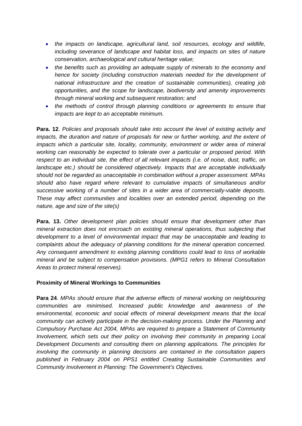- *the impacts on landscape, agricultural land, soil resources, ecology and wildlife, including severance of landscape and habitat loss, and impacts on sites of nature conservation, archaeological and cultural heritage value;*
- *the benefits such as providing an adequate supply of minerals to the economy and hence for society (including construction materials needed for the development of national infrastructure and the creation of sustainable communities), creating job opportunities, and the scope for landscape, biodiversity and amenity improvements through mineral working and subsequent restoration; and*
- *the methods of control through planning conditions or agreements to ensure that impacts are kept to an acceptable minimum.*

**Para. 12**. *Policies and proposals should take into account the level of existing activity and*  impacts, the duration and nature of proposals for new or further working, and the extent of *impacts which a particular site, locality, community, environment or wider area of mineral working can reasonably be expected to tolerate over a particular or proposed period. With respect to an individual site, the effect of all relevant impacts (i.e. of noise, dust, traffic, on landscape etc.) should be considered objectively. Impacts that are acceptable individually should not be regarded as unacceptable in combination without a proper assessment. MPAs should also have regard where relevant to cumulative impacts of simultaneous and/or successive working of a number of sites in a wider area of commercially-viable deposits. These may affect communities and localities over an extended period, depending on the nature, age and size of the site(s)* 

**Para. 13.** *Other development plan policies should ensure that development other than mineral extraction does not encroach on existing mineral operations, thus subjecting that development to a level of environmental impact that may be unacceptable and leading to complaints about the adequacy of planning conditions for the mineral operation concerned. Any consequent amendment to existing planning conditions could lead to loss of workable mineral and be subject to compensation provisions. (MPG1 refers to Mineral Consultation Areas to protect mineral reserves).* 

#### **Proximity of Mineral Workings to Communities**

**Para 24**. *MPAs should ensure that the adverse effects of mineral working on neighbouring communities are minimised. Increased public knowledge and awareness of the environmental, economic and social effects of mineral development means that the local community can actively participate in the decision-making process. Under the Planning and Compulsory Purchase Act 2004, MPAs are required to prepare a Statement of Community Involvement, which sets out their policy on involving their community in preparing Local Development Documents and consulting them on planning applications. The principles for involving the community in planning decisions are contained in the consultation papers published in February 2004 on PPS1 entitled Creating Sustainable Communities and Community Involvement in Planning: The Government's Objectives.*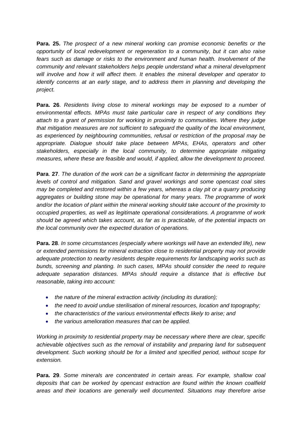**Para. 25.** *The prospect of a new mineral working can promise economic benefits or the opportunity of local redevelopment or regeneration to a community, but it can also raise fears such as damage or risks to the environment and human health. Involvement of the community and relevant stakeholders helps people understand what a mineral development will involve and how it will affect them. It enables the mineral developer and operator to identify concerns at an early stage, and to address them in planning and developing the project.* 

**Para. 26**. *Residents living close to mineral workings may be exposed to a number of environmental effects. MPAs must take particular care in respect of any conditions they attach to a grant of permission for working in proximity to communities. Where they judge that mitigation measures are not sufficient to safeguard the quality of the local environment, as experienced by neighbouring communities, refusal or restriction of the proposal may be appropriate. Dialogue should take place between MPAs, EHAs, operators and other stakeholders, especially in the local community, to determine appropriate mitigating measures, where these are feasible and would, if applied, allow the development to proceed.* 

**Para**. **27**. *The duration of the work can be a significant factor in determining the appropriate levels of control and mitigation. Sand and gravel workings and some opencast coal sites may be completed and restored within a few years, whereas a clay pit or a quarry producing aggregates or building stone may be operational for many years. The programme of work and/or the location of plant within the mineral working should take account of the proximity to occupied properties, as well as legitimate operational considerations. A programme of work should be agreed which takes account, as far as is practicable, of the potential impacts on the local community over the expected duration of operations.* 

**Para. 28**. *In some circumstances (especially where workings will have an extended life), new or extended permissions for mineral extraction close to residential property may not provide adequate protection to nearby residents despite requirements for landscaping works such as bunds, screening and planting. In such cases, MPAs should consider the need to require adequate separation distances. MPAs should require a distance that is effective but reasonable, taking into account:* 

- *the nature of the mineral extraction activity (including its duration);*
- *the need to avoid undue sterilisation of mineral resources, location and topography;*
- *the characteristics of the various environmental effects likely to arise; and*
- *the various amelioration measures that can be applied.*

*Working in proximity to residential property may be necessary where there are clear, specific achievable objectives such as the removal of instability and preparing land for subsequent development. Such working should be for a limited and specified period, without scope for extension.* 

**Para. 29**. *Some minerals are concentrated in certain areas. For example, shallow coal deposits that can be worked by opencast extraction are found within the known coalfield areas and their locations are generally well documented. Situations may therefore arise*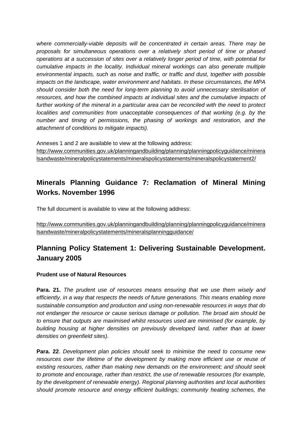*where commercially-viable deposits will be concentrated in certain areas. There may be proposals for simultaneous operations over a relatively short period of time or phased operations at a succession of sites over a relatively longer period of time, with potential for cumulative impacts in the locality. Individual mineral workings can also generate multiple environmental impacts, such as noise and traffic, or traffic and dust, together with possible impacts on the landscape, water environment and habitats. In these circumstances, the MPA should consider both the need for long-term planning to avoid unnecessary sterilisation of resources, and how the combined impacts at individual sites and the cumulative impacts of further working of the mineral in a particular area can be reconciled with the need to protect localities and communities from unacceptable consequences of that working (e.g. by the number and timing of permissions, the phasing of workings and restoration, and the attachment of conditions to mitigate impacts).* 

Annexes 1 and 2 are available to view at the following address: [http://www.communities.gov.uk/planningandbuilding/planning/planningpolicyguidance/minera](http://www.communities.gov.uk/planningandbuilding/planning/planningpolicyguidance/mineralsandwaste/mineralpolicystatements/mineralspolicystatements/mineralspolicystatement2/) [lsandwaste/mineralpolicystatements/mineralspolicystatements/mineralspolicystatement2/](http://www.communities.gov.uk/planningandbuilding/planning/planningpolicyguidance/mineralsandwaste/mineralpolicystatements/mineralspolicystatements/mineralspolicystatement2/)

### **Minerals Planning Guidance 7: Reclamation of Mineral Mining Works. November 1996**

The full document is available to view at the following address:

[http://www.communities.gov.uk/planningandbuilding/planning/planningpolicyguidance/minera](http://www.communities.gov.uk/planningandbuilding/planning/planningpolicyguidance/mineralsandwaste/mineralpolicystatements/mineralsplanningguidance/) [lsandwaste/mineralpolicystatements/mineralsplanningguidance/](http://www.communities.gov.uk/planningandbuilding/planning/planningpolicyguidance/mineralsandwaste/mineralpolicystatements/mineralsplanningguidance/)

### **Planning Policy Statement 1: Delivering Sustainable Development. January 2005**

#### **Prudent use of Natural Resources**

**Para. 21.** *The prudent use of resources means ensuring that we use them wisely and efficiently, in a way that respects the needs of future generations. This means enabling more sustainable consumption and production and using non-renewable resources in ways that do not endanger the resource or cause serious damage or pollution. The broad aim should be to ensure that outputs are maximised whilst resources used are minimised (for example, by building housing at higher densities on previously developed land, rather than at lower densities on greenfield sites).*

**Para. 22**. *Development plan policies should seek to minimise the need to consume new*  resources over the lifetime of the development by making more efficient use or reuse of *existing resources, rather than making new demands on the environment; and should seek to promote and encourage, rather than restrict, the use of renewable resources (for example, by the development of renewable energy). Regional planning authorities and local authorities should promote resource and energy efficient buildings; community heating schemes, the*